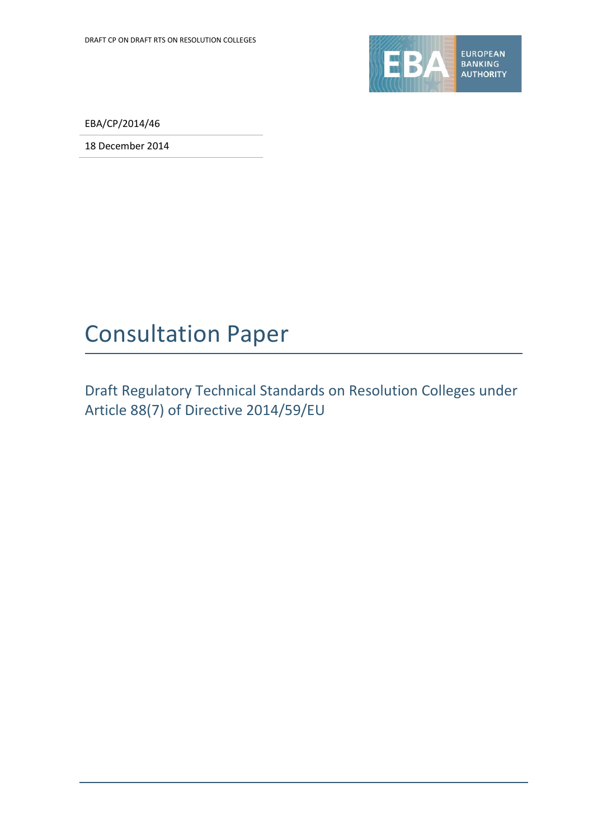

EBA/CP/2014/46

18 December 2014

# Consultation Paper

Draft Regulatory Technical Standards on Resolution Colleges under Article 88(7) of Directive 2014/59/EU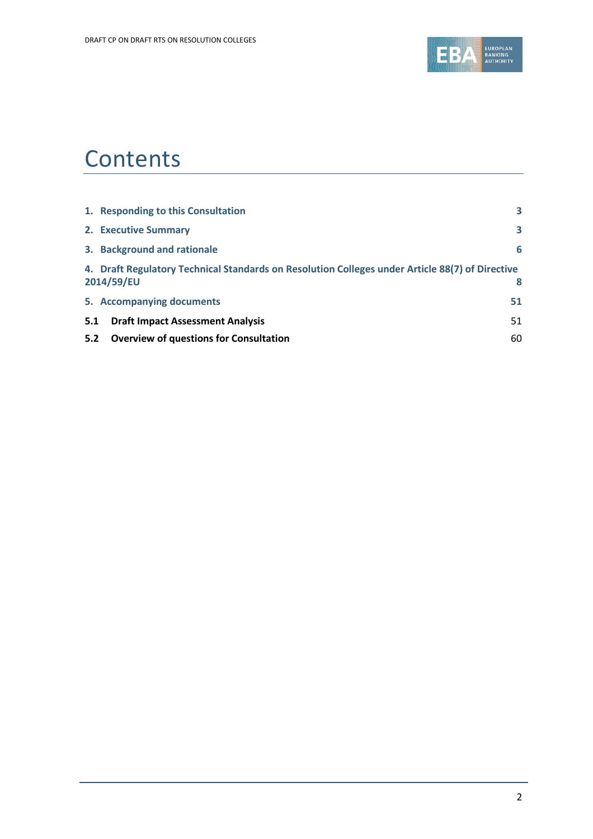

# **Contents**

|     | 1. Responding to this Consultation                                                                            | 3  |
|-----|---------------------------------------------------------------------------------------------------------------|----|
|     | 2. Executive Summary                                                                                          | 3  |
|     | 3. Background and rationale                                                                                   | 6  |
|     | 4. Draft Regulatory Technical Standards on Resolution Colleges under Article 88(7) of Directive<br>2014/59/EU | 8  |
|     | 5. Accompanying documents                                                                                     | 51 |
| 5.1 | <b>Draft Impact Assessment Analysis</b>                                                                       | 51 |
| 5.2 | <b>Overview of questions for Consultation</b>                                                                 | 60 |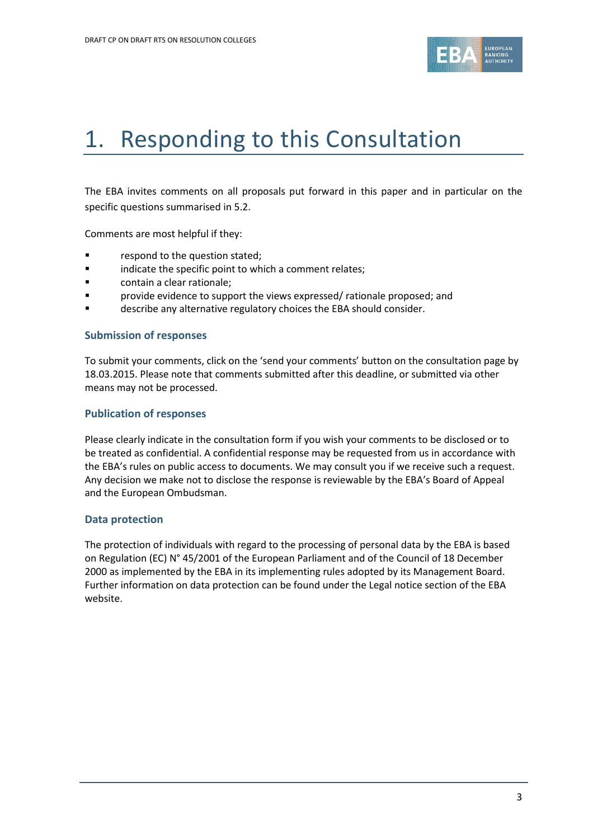

# 1. Responding to this Consultation

The EBA invites comments on all proposals put forward in this paper and in particular on the specific questions summarised in 5.2.

Comments are most helpful if they:

- **Fallengia Exercise 1** respond to the question stated;
- indicate the specific point to which a comment relates;
- contain a clear rationale;
- **F** provide evidence to support the views expressed/ rationale proposed; and
- describe any alternative regulatory choices the EBA should consider.

#### **Submission of responses**

To submit your comments, click on the 'send your comments' button on the consultation page by 18.03.2015. Please note that comments submitted after this deadline, or submitted via other means may not be processed.

#### **Publication of responses**

Please clearly indicate in the consultation form if you wish your comments to be disclosed or to be treated as confidential. A confidential response may be requested from us in accordance with the EBA's rules on public access to documents. We may consult you if we receive such a request. Any decision we make not to disclose the response is reviewable by the EBA's Board of Appeal and the European Ombudsman.

#### **Data protection**

The protection of individuals with regard to the processing of personal data by the EBA is based on Regulation (EC) N° 45/2001 of the European Parliament and of the Council of 18 December 2000 as implemented by the EBA in its implementing rules adopted by its Management Board. Further information on data protection can be found under the [Legal notice section](http://eba.europa.eu/legal-notice) of the EBA website.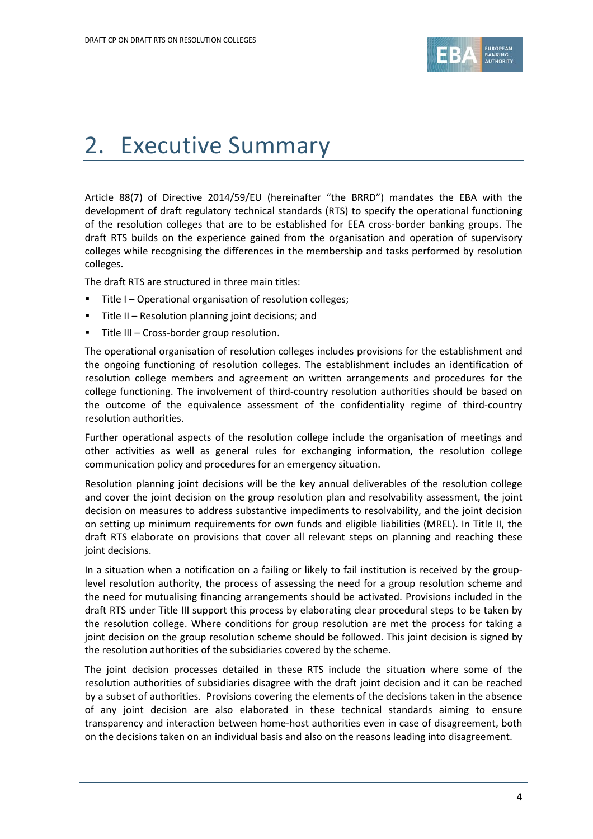

# 2. Executive Summary

Article 88(7) of Directive 2014/59/EU (hereinafter "the BRRD") mandates the EBA with the development of draft regulatory technical standards (RTS) to specify the operational functioning of the resolution colleges that are to be established for EEA cross-border banking groups. The draft RTS builds on the experience gained from the organisation and operation of supervisory colleges while recognising the differences in the membership and tasks performed by resolution colleges.

The draft RTS are structured in three main titles:

- **Title I Operational organisation of resolution colleges;**
- Title II Resolution planning joint decisions; and
- **Title III Cross-border group resolution.**

The operational organisation of resolution colleges includes provisions for the establishment and the ongoing functioning of resolution colleges. The establishment includes an identification of resolution college members and agreement on written arrangements and procedures for the college functioning. The involvement of third-country resolution authorities should be based on the outcome of the equivalence assessment of the confidentiality regime of third-country resolution authorities.

Further operational aspects of the resolution college include the organisation of meetings and other activities as well as general rules for exchanging information, the resolution college communication policy and procedures for an emergency situation.

Resolution planning joint decisions will be the key annual deliverables of the resolution college and cover the joint decision on the group resolution plan and resolvability assessment, the joint decision on measures to address substantive impediments to resolvability, and the joint decision on setting up minimum requirements for own funds and eligible liabilities (MREL). In Title II, the draft RTS elaborate on provisions that cover all relevant steps on planning and reaching these joint decisions.

In a situation when a notification on a failing or likely to fail institution is received by the grouplevel resolution authority, the process of assessing the need for a group resolution scheme and the need for mutualising financing arrangements should be activated. Provisions included in the draft RTS under Title III support this process by elaborating clear procedural steps to be taken by the resolution college. Where conditions for group resolution are met the process for taking a joint decision on the group resolution scheme should be followed. This joint decision is signed by the resolution authorities of the subsidiaries covered by the scheme.

The joint decision processes detailed in these RTS include the situation where some of the resolution authorities of subsidiaries disagree with the draft joint decision and it can be reached by a subset of authorities. Provisions covering the elements of the decisions taken in the absence of any joint decision are also elaborated in these technical standards aiming to ensure transparency and interaction between home-host authorities even in case of disagreement, both on the decisions taken on an individual basis and also on the reasons leading into disagreement.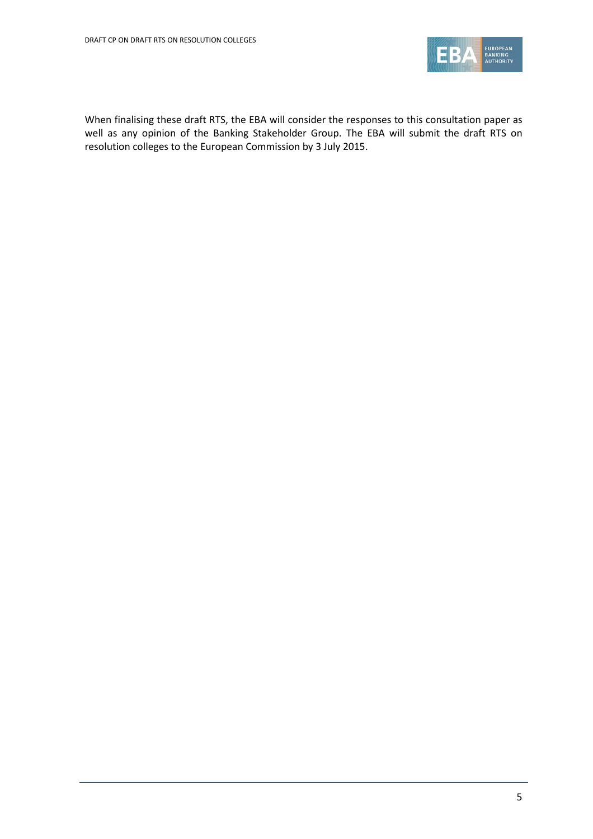

When finalising these draft RTS, the EBA will consider the responses to this consultation paper as well as any opinion of the Banking Stakeholder Group. The EBA will submit the draft RTS on resolution colleges to the European Commission by 3 July 2015.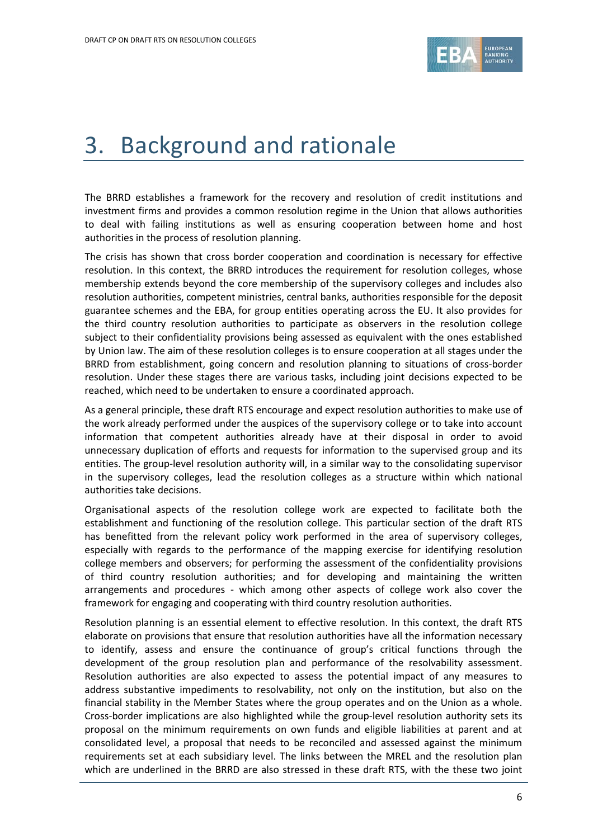

# 3. Background and rationale

The BRRD establishes a framework for the recovery and resolution of credit institutions and investment firms and provides a common resolution regime in the Union that allows authorities to deal with failing institutions as well as ensuring cooperation between home and host authorities in the process of resolution planning.

The crisis has shown that cross border cooperation and coordination is necessary for effective resolution. In this context, the BRRD introduces the requirement for resolution colleges, whose membership extends beyond the core membership of the supervisory colleges and includes also resolution authorities, competent ministries, central banks, authorities responsible for the deposit guarantee schemes and the EBA, for group entities operating across the EU. It also provides for the third country resolution authorities to participate as observers in the resolution college subject to their confidentiality provisions being assessed as equivalent with the ones established by Union law. The aim of these resolution colleges is to ensure cooperation at all stages under the BRRD from establishment, going concern and resolution planning to situations of cross-border resolution. Under these stages there are various tasks, including joint decisions expected to be reached, which need to be undertaken to ensure a coordinated approach.

As a general principle, these draft RTS encourage and expect resolution authorities to make use of the work already performed under the auspices of the supervisory college or to take into account information that competent authorities already have at their disposal in order to avoid unnecessary duplication of efforts and requests for information to the supervised group and its entities. The group-level resolution authority will, in a similar way to the consolidating supervisor in the supervisory colleges, lead the resolution colleges as a structure within which national authorities take decisions.

Organisational aspects of the resolution college work are expected to facilitate both the establishment and functioning of the resolution college. This particular section of the draft RTS has benefitted from the relevant policy work performed in the area of supervisory colleges, especially with regards to the performance of the mapping exercise for identifying resolution college members and observers; for performing the assessment of the confidentiality provisions of third country resolution authorities; and for developing and maintaining the written arrangements and procedures - which among other aspects of college work also cover the framework for engaging and cooperating with third country resolution authorities.

Resolution planning is an essential element to effective resolution. In this context, the draft RTS elaborate on provisions that ensure that resolution authorities have all the information necessary to identify, assess and ensure the continuance of group's critical functions through the development of the group resolution plan and performance of the resolvability assessment. Resolution authorities are also expected to assess the potential impact of any measures to address substantive impediments to resolvability, not only on the institution, but also on the financial stability in the Member States where the group operates and on the Union as a whole. Cross-border implications are also highlighted while the group-level resolution authority sets its proposal on the minimum requirements on own funds and eligible liabilities at parent and at consolidated level, a proposal that needs to be reconciled and assessed against the minimum requirements set at each subsidiary level. The links between the MREL and the resolution plan which are underlined in the BRRD are also stressed in these draft RTS, with the these two joint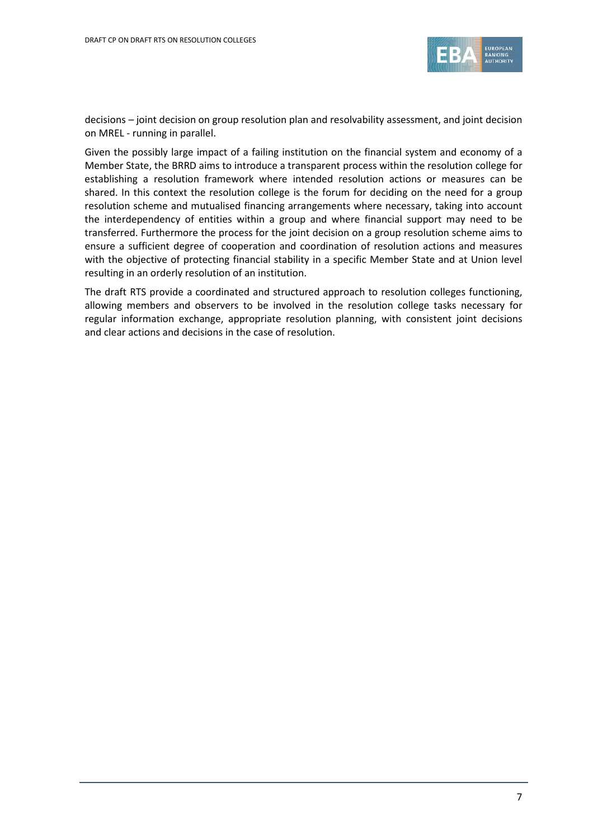

decisions – joint decision on group resolution plan and resolvability assessment, and joint decision on MREL - running in parallel.

Given the possibly large impact of a failing institution on the financial system and economy of a Member State, the BRRD aims to introduce a transparent process within the resolution college for establishing a resolution framework where intended resolution actions or measures can be shared. In this context the resolution college is the forum for deciding on the need for a group resolution scheme and mutualised financing arrangements where necessary, taking into account the interdependency of entities within a group and where financial support may need to be transferred. Furthermore the process for the joint decision on a group resolution scheme aims to ensure a sufficient degree of cooperation and coordination of resolution actions and measures with the objective of protecting financial stability in a specific Member State and at Union level resulting in an orderly resolution of an institution.

The draft RTS provide a coordinated and structured approach to resolution colleges functioning, allowing members and observers to be involved in the resolution college tasks necessary for regular information exchange, appropriate resolution planning, with consistent joint decisions and clear actions and decisions in the case of resolution.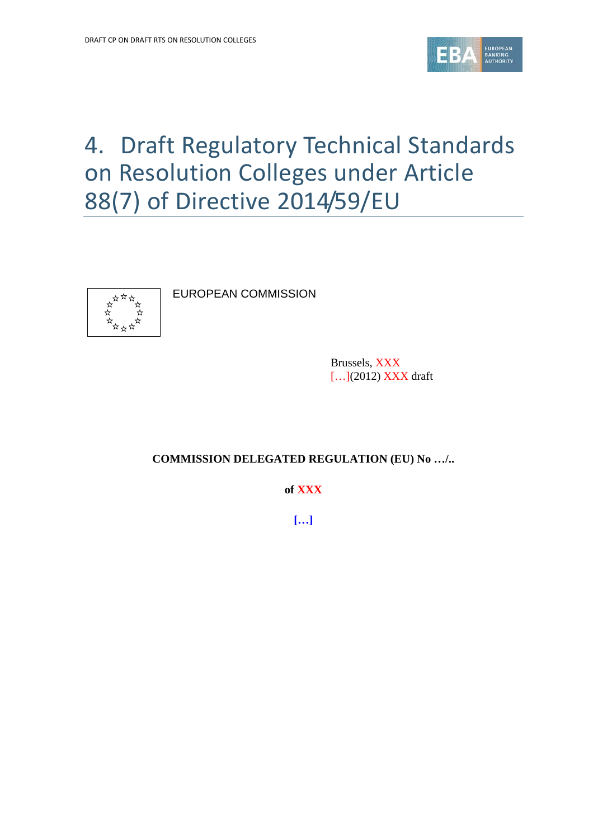

# 4. Draft Regulatory Technical Standards on Resolution Colleges under Article 88(7) of Directive 2014/59/EU



EUROPEAN COMMISSION

Brussels, XXX [...](2012) **XXX** draft

#### **COMMISSION DELEGATED REGULATION (EU) No …/..**

**of XXX**

**[…]**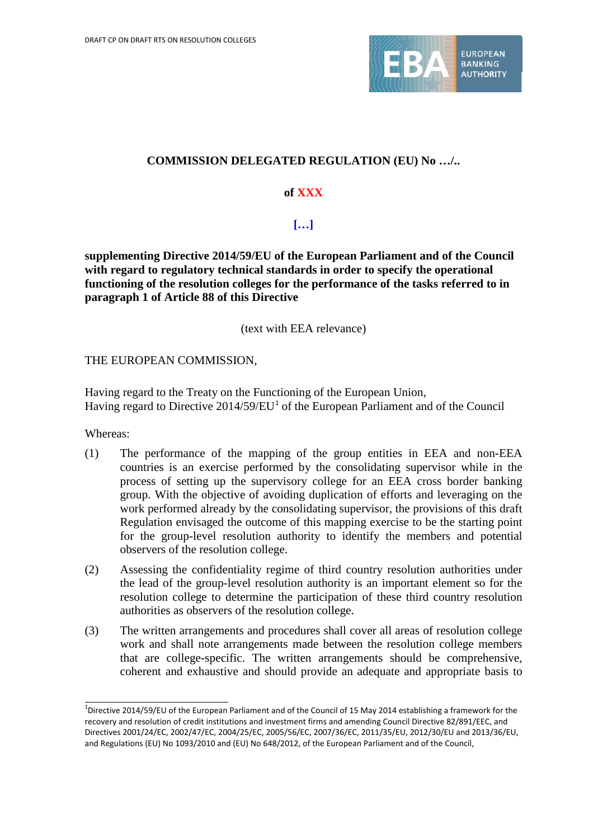

## **COMMISSION DELEGATED REGULATION (EU) No …/..**

## **of XXX**

## **[…]**

**supplementing Directive 2014/59/EU of the European Parliament and of the Council with regard to regulatory technical standards in order to specify the operational functioning of the resolution colleges for the performance of the tasks referred to in paragraph 1 of Article 88 of this Directive** 

(text with EEA relevance)

## THE EUROPEAN COMMISSION,

Having regard to the Treaty on the Functioning of the European Union, Having regard to Directive  $2014/59/EU<sup>1</sup>$  $2014/59/EU<sup>1</sup>$  $2014/59/EU<sup>1</sup>$  of the European Parliament and of the Council

Whereas:

- (1) The performance of the mapping of the group entities in EEA and non-EEA countries is an exercise performed by the consolidating supervisor while in the process of setting up the supervisory college for an EEA cross border banking group. With the objective of avoiding duplication of efforts and leveraging on the work performed already by the consolidating supervisor, the provisions of this draft Regulation envisaged the outcome of this mapping exercise to be the starting point for the group-level resolution authority to identify the members and potential observers of the resolution college.
- (2) Assessing the confidentiality regime of third country resolution authorities under the lead of the group-level resolution authority is an important element so for the resolution college to determine the participation of these third country resolution authorities as observers of the resolution college.
- (3) The written arrangements and procedures shall cover all areas of resolution college work and shall note arrangements made between the resolution college members that are college-specific. The written arrangements should be comprehensive, coherent and exhaustive and should provide an adequate and appropriate basis to

<span id="page-8-0"></span><sup>1</sup> Directive 2014/59/EU of the European Parliament and of the Council of 15 May 2014 establishing a framework for the recovery and resolution of credit institutions and investment firms and amending Council Directive 82/891/EEC, and Directives 2001/24/EC, 2002/47/EC, 2004/25/EC, 2005/56/EC, 2007/36/EC, 2011/35/EU, 2012/30/EU and 2013/36/EU, and Regulations (EU) No 1093/2010 and (EU) No 648/2012, of the European Parliament and of the Council,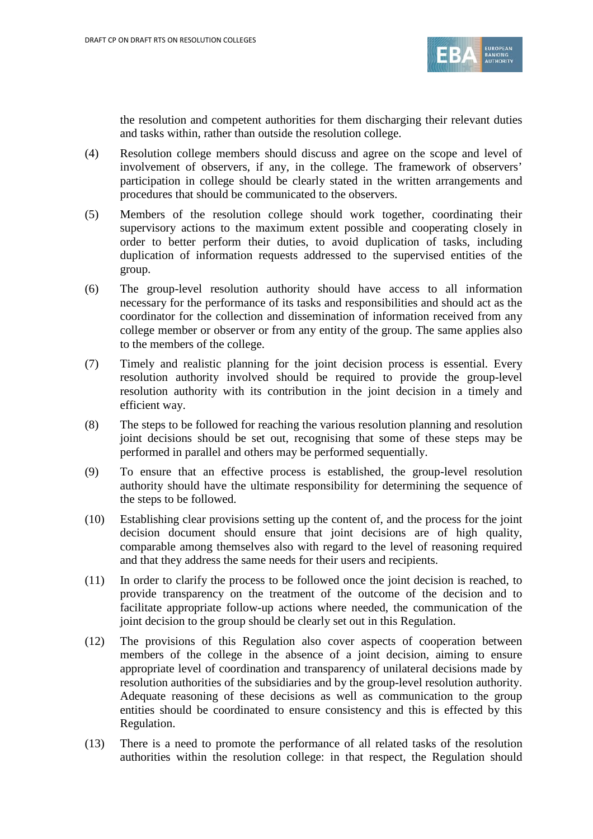

the resolution and competent authorities for them discharging their relevant duties and tasks within, rather than outside the resolution college.

- (4) Resolution college members should discuss and agree on the scope and level of involvement of observers, if any, in the college. The framework of observers' participation in college should be clearly stated in the written arrangements and procedures that should be communicated to the observers.
- (5) Members of the resolution college should work together, coordinating their supervisory actions to the maximum extent possible and cooperating closely in order to better perform their duties, to avoid duplication of tasks, including duplication of information requests addressed to the supervised entities of the group.
- (6) The group-level resolution authority should have access to all information necessary for the performance of its tasks and responsibilities and should act as the coordinator for the collection and dissemination of information received from any college member or observer or from any entity of the group. The same applies also to the members of the college.
- (7) Timely and realistic planning for the joint decision process is essential. Every resolution authority involved should be required to provide the group-level resolution authority with its contribution in the joint decision in a timely and efficient way.
- (8) The steps to be followed for reaching the various resolution planning and resolution joint decisions should be set out, recognising that some of these steps may be performed in parallel and others may be performed sequentially.
- (9) To ensure that an effective process is established, the group-level resolution authority should have the ultimate responsibility for determining the sequence of the steps to be followed.
- (10) Establishing clear provisions setting up the content of, and the process for the joint decision document should ensure that joint decisions are of high quality, comparable among themselves also with regard to the level of reasoning required and that they address the same needs for their users and recipients.
- (11) In order to clarify the process to be followed once the joint decision is reached, to provide transparency on the treatment of the outcome of the decision and to facilitate appropriate follow-up actions where needed, the communication of the joint decision to the group should be clearly set out in this Regulation.
- (12) The provisions of this Regulation also cover aspects of cooperation between members of the college in the absence of a joint decision, aiming to ensure appropriate level of coordination and transparency of unilateral decisions made by resolution authorities of the subsidiaries and by the group-level resolution authority. Adequate reasoning of these decisions as well as communication to the group entities should be coordinated to ensure consistency and this is effected by this Regulation.
- (13) There is a need to promote the performance of all related tasks of the resolution authorities within the resolution college: in that respect, the Regulation should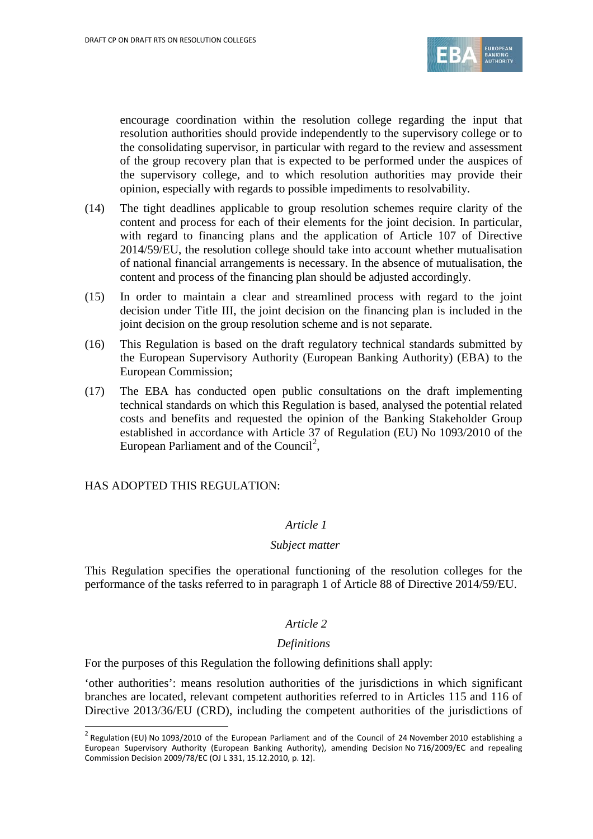

encourage coordination within the resolution college regarding the input that resolution authorities should provide independently to the supervisory college or to the consolidating supervisor, in particular with regard to the review and assessment of the group recovery plan that is expected to be performed under the auspices of the supervisory college, and to which resolution authorities may provide their opinion, especially with regards to possible impediments to resolvability.

- (14) The tight deadlines applicable to group resolution schemes require clarity of the content and process for each of their elements for the joint decision. In particular, with regard to financing plans and the application of Article 107 of Directive 2014/59/EU, the resolution college should take into account whether mutualisation of national financial arrangements is necessary. In the absence of mutualisation, the content and process of the financing plan should be adjusted accordingly.
- (15) In order to maintain a clear and streamlined process with regard to the joint decision under Title III, the joint decision on the financing plan is included in the joint decision on the group resolution scheme and is not separate.
- (16) This Regulation is based on the draft regulatory technical standards submitted by the European Supervisory Authority (European Banking Authority) (EBA) to the European Commission;
- (17) The EBA has conducted open public consultations on the draft implementing technical standards on which this Regulation is based, analysed the potential related costs and benefits and requested the opinion of the Banking Stakeholder Group established in accordance with Article 37 of Regulation (EU) No 1093/2010 of the European Parliament and of the Council<sup>[2](#page-10-0)</sup>,

HAS ADOPTED THIS REGULATION:

 $\overline{a}$ 

#### *Article 1*

#### *Subject matter*

This Regulation specifies the operational functioning of the resolution colleges for the performance of the tasks referred to in paragraph 1 of Article 88 of Directive 2014/59/EU.

#### *Article 2*

#### *Definitions*

For the purposes of this Regulation the following definitions shall apply:

'other authorities': means resolution authorities of the jurisdictions in which significant branches are located, relevant competent authorities referred to in Articles 115 and 116 of Directive 2013/36/EU (CRD), including the competent authorities of the jurisdictions of

<span id="page-10-0"></span> $2$  Regulation (EU) No 1093/2010 of the European Parliament and of the Council of 24 November 2010 establishing a European Supervisory Authority (European Banking Authority), amending Decision No 716/2009/EC and repealing Commission Decision 2009/78/EC (OJ L 331, 15.12.2010, p. 12).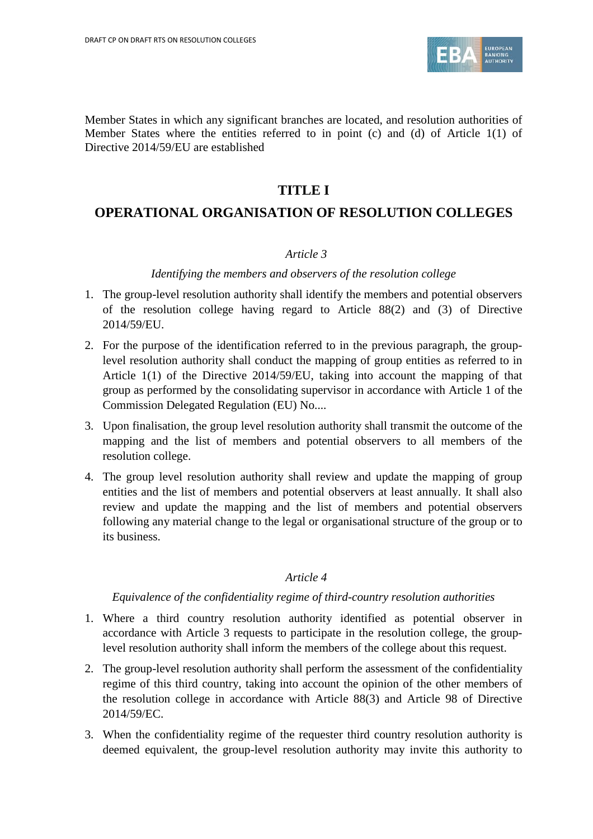

Member States in which any significant branches are located, and resolution authorities of Member States where the entities referred to in point (c) and (d) of Article 1(1) of Directive 2014/59/EU are established

# **TITLE I**

## **OPERATIONAL ORGANISATION OF RESOLUTION COLLEGES**

#### *Article 3*

#### *Identifying the members and observers of the resolution college*

- 1. The group-level resolution authority shall identify the members and potential observers of the resolution college having regard to Article 88(2) and (3) of Directive 2014/59/EU.
- 2. For the purpose of the identification referred to in the previous paragraph, the grouplevel resolution authority shall conduct the mapping of group entities as referred to in Article 1(1) of the Directive 2014/59/EU, taking into account the mapping of that group as performed by the consolidating supervisor in accordance with Article 1 of the Commission Delegated Regulation (EU) No....
- 3. Upon finalisation, the group level resolution authority shall transmit the outcome of the mapping and the list of members and potential observers to all members of the resolution college.
- 4. The group level resolution authority shall review and update the mapping of group entities and the list of members and potential observers at least annually. It shall also review and update the mapping and the list of members and potential observers following any material change to the legal or organisational structure of the group or to its business.

#### *Article 4*

#### *Equivalence of the confidentiality regime of third-country resolution authorities*

- 1. Where a third country resolution authority identified as potential observer in accordance with Article 3 requests to participate in the resolution college, the grouplevel resolution authority shall inform the members of the college about this request.
- 2. The group-level resolution authority shall perform the assessment of the confidentiality regime of this third country, taking into account the opinion of the other members of the resolution college in accordance with Article 88(3) and Article 98 of Directive 2014/59/EC.
- 3. When the confidentiality regime of the requester third country resolution authority is deemed equivalent, the group-level resolution authority may invite this authority to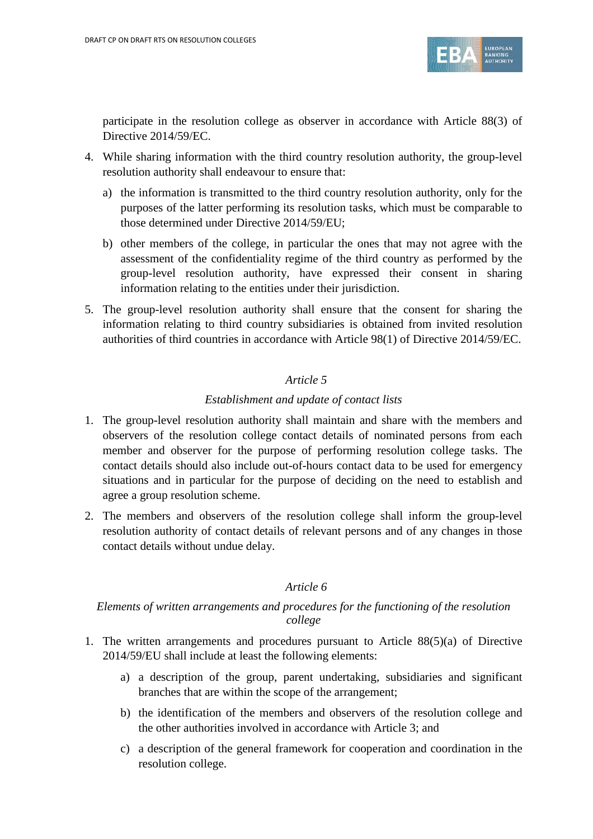

participate in the resolution college as observer in accordance with Article 88(3) of Directive 2014/59/EC.

- 4. While sharing information with the third country resolution authority, the group-level resolution authority shall endeavour to ensure that:
	- a) the information is transmitted to the third country resolution authority, only for the purposes of the latter performing its resolution tasks, which must be comparable to those determined under Directive 2014/59/EU;
	- b) other members of the college, in particular the ones that may not agree with the assessment of the confidentiality regime of the third country as performed by the group-level resolution authority, have expressed their consent in sharing information relating to the entities under their jurisdiction.
- 5. The group-level resolution authority shall ensure that the consent for sharing the information relating to third country subsidiaries is obtained from invited resolution authorities of third countries in accordance with Article 98(1) of Directive 2014/59/EC.

## *Article 5*

## *Establishment and update of contact lists*

- 1. The group-level resolution authority shall maintain and share with the members and observers of the resolution college contact details of nominated persons from each member and observer for the purpose of performing resolution college tasks. The contact details should also include out-of-hours contact data to be used for emergency situations and in particular for the purpose of deciding on the need to establish and agree a group resolution scheme.
- 2. The members and observers of the resolution college shall inform the group-level resolution authority of contact details of relevant persons and of any changes in those contact details without undue delay.

## *Article 6*

## *Elements of written arrangements and procedures for the functioning of the resolution college*

- 1. The written arrangements and procedures pursuant to Article 88(5)(a) of Directive 2014/59/EU shall include at least the following elements:
	- a) a description of the group, parent undertaking, subsidiaries and significant branches that are within the scope of the arrangement;
	- b) the identification of the members and observers of the resolution college and the other authorities involved in accordance with Article 3; and
	- c) a description of the general framework for cooperation and coordination in the resolution college.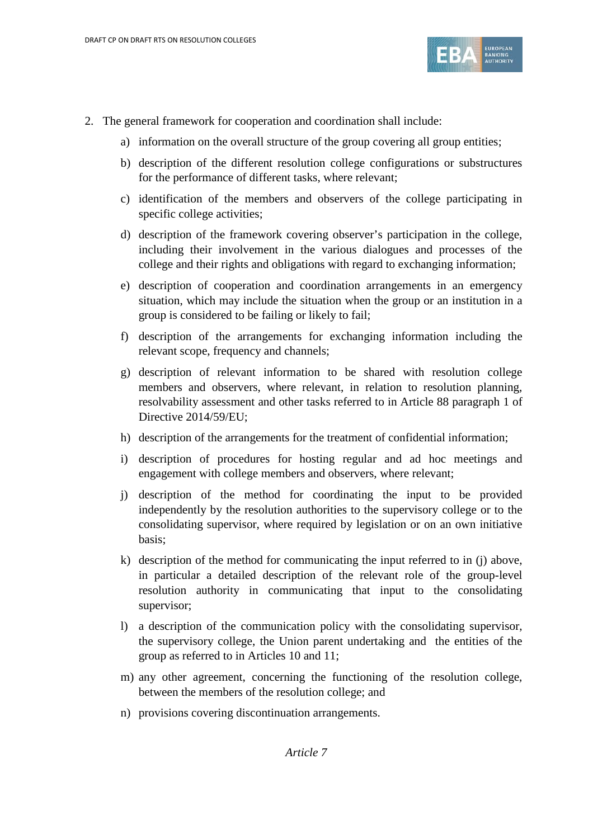

- 2. The general framework for cooperation and coordination shall include:
	- a) information on the overall structure of the group covering all group entities;
	- b) description of the different resolution college configurations or substructures for the performance of different tasks, where relevant;
	- c) identification of the members and observers of the college participating in specific college activities;
	- d) description of the framework covering observer's participation in the college, including their involvement in the various dialogues and processes of the college and their rights and obligations with regard to exchanging information;
	- e) description of cooperation and coordination arrangements in an emergency situation, which may include the situation when the group or an institution in a group is considered to be failing or likely to fail;
	- f) description of the arrangements for exchanging information including the relevant scope, frequency and channels;
	- g) description of relevant information to be shared with resolution college members and observers, where relevant, in relation to resolution planning, resolvability assessment and other tasks referred to in Article 88 paragraph 1 of Directive 2014/59/EU;
	- h) description of the arrangements for the treatment of confidential information;
	- i) description of procedures for hosting regular and ad hoc meetings and engagement with college members and observers, where relevant;
	- j) description of the method for coordinating the input to be provided independently by the resolution authorities to the supervisory college or to the consolidating supervisor, where required by legislation or on an own initiative basis;
	- k) description of the method for communicating the input referred to in (j) above, in particular a detailed description of the relevant role of the group-level resolution authority in communicating that input to the consolidating supervisor;
	- l) a description of the communication policy with the consolidating supervisor, the supervisory college, the Union parent undertaking and the entities of the group as referred to in Articles 10 and 11;
	- m) any other agreement, concerning the functioning of the resolution college, between the members of the resolution college; and
	- n) provisions covering discontinuation arrangements.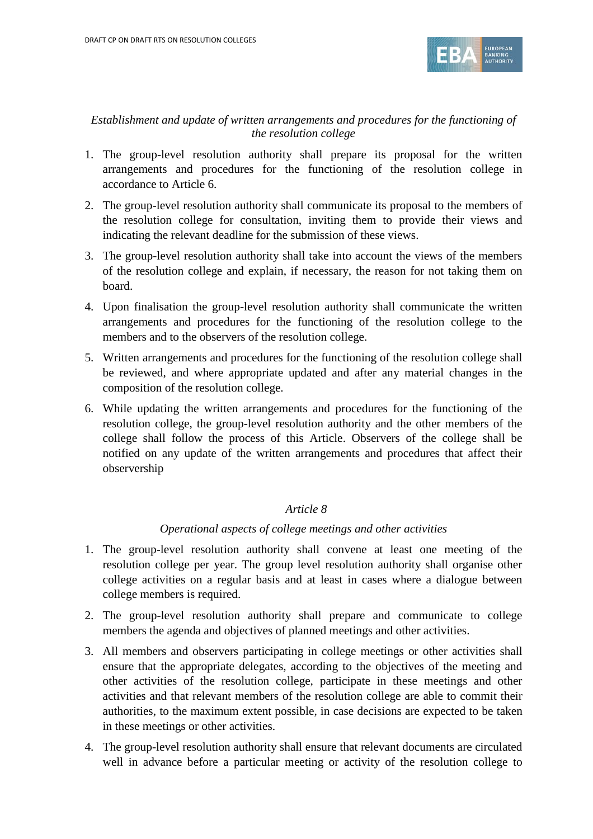

## *Establishment and update of written arrangements and procedures for the functioning of the resolution college*

- 1. The group-level resolution authority shall prepare its proposal for the written arrangements and procedures for the functioning of the resolution college in accordance to Article 6.
- 2. The group-level resolution authority shall communicate its proposal to the members of the resolution college for consultation, inviting them to provide their views and indicating the relevant deadline for the submission of these views.
- 3. The group-level resolution authority shall take into account the views of the members of the resolution college and explain, if necessary, the reason for not taking them on board.
- 4. Upon finalisation the group-level resolution authority shall communicate the written arrangements and procedures for the functioning of the resolution college to the members and to the observers of the resolution college.
- 5. Written arrangements and procedures for the functioning of the resolution college shall be reviewed, and where appropriate updated and after any material changes in the composition of the resolution college.
- 6. While updating the written arrangements and procedures for the functioning of the resolution college, the group-level resolution authority and the other members of the college shall follow the process of this Article. Observers of the college shall be notified on any update of the written arrangements and procedures that affect their observership

## *Article 8*

## *Operational aspects of college meetings and other activities*

- 1. The group-level resolution authority shall convene at least one meeting of the resolution college per year. The group level resolution authority shall organise other college activities on a regular basis and at least in cases where a dialogue between college members is required.
- 2. The group-level resolution authority shall prepare and communicate to college members the agenda and objectives of planned meetings and other activities.
- 3. All members and observers participating in college meetings or other activities shall ensure that the appropriate delegates, according to the objectives of the meeting and other activities of the resolution college, participate in these meetings and other activities and that relevant members of the resolution college are able to commit their authorities, to the maximum extent possible, in case decisions are expected to be taken in these meetings or other activities.
- 4. The group-level resolution authority shall ensure that relevant documents are circulated well in advance before a particular meeting or activity of the resolution college to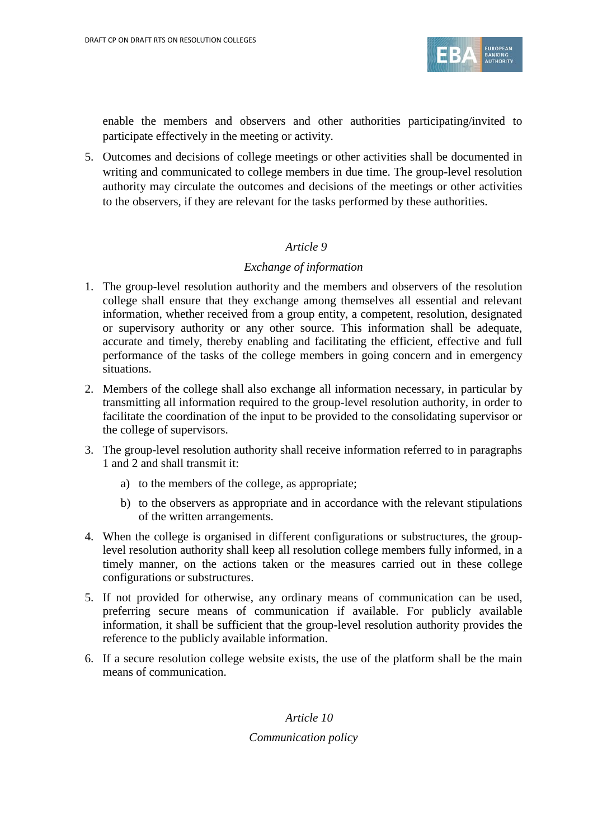

enable the members and observers and other authorities participating/invited to participate effectively in the meeting or activity.

5. Outcomes and decisions of college meetings or other activities shall be documented in writing and communicated to college members in due time. The group-level resolution authority may circulate the outcomes and decisions of the meetings or other activities to the observers, if they are relevant for the tasks performed by these authorities.

## *Article 9*

#### *Exchange of information*

- 1. The group-level resolution authority and the members and observers of the resolution college shall ensure that they exchange among themselves all essential and relevant information, whether received from a group entity, a competent, resolution, designated or supervisory authority or any other source. This information shall be adequate, accurate and timely, thereby enabling and facilitating the efficient, effective and full performance of the tasks of the college members in going concern and in emergency situations.
- 2. Members of the college shall also exchange all information necessary, in particular by transmitting all information required to the group-level resolution authority, in order to facilitate the coordination of the input to be provided to the consolidating supervisor or the college of supervisors.
- 3. The group-level resolution authority shall receive information referred to in paragraphs 1 and 2 and shall transmit it:
	- a) to the members of the college, as appropriate;
	- b) to the observers as appropriate and in accordance with the relevant stipulations of the written arrangements.
- 4. When the college is organised in different configurations or substructures, the grouplevel resolution authority shall keep all resolution college members fully informed, in a timely manner, on the actions taken or the measures carried out in these college configurations or substructures.
- 5. If not provided for otherwise, any ordinary means of communication can be used, preferring secure means of communication if available. For publicly available information, it shall be sufficient that the group-level resolution authority provides the reference to the publicly available information.
- 6. If a secure resolution college website exists, the use of the platform shall be the main means of communication.

*Article 10 Communication policy*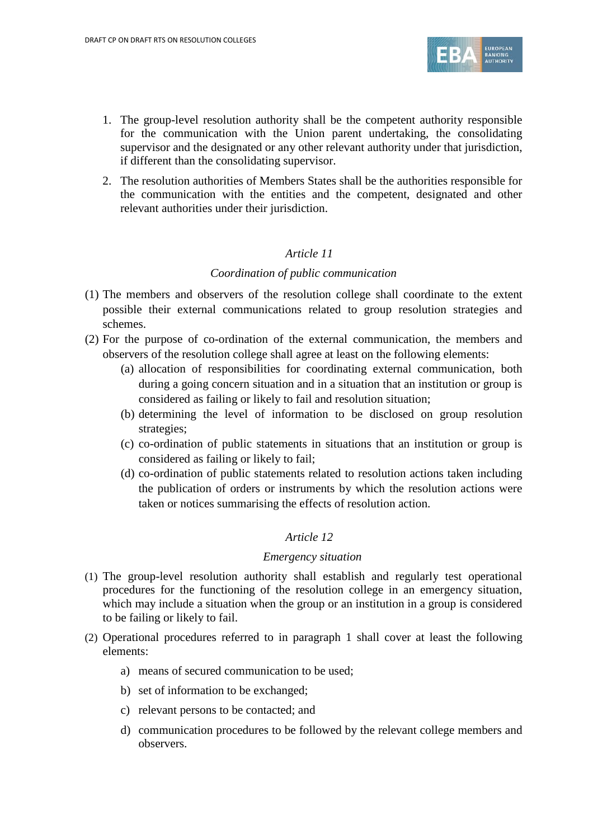

- 1. The group-level resolution authority shall be the competent authority responsible for the communication with the Union parent undertaking, the consolidating supervisor and the designated or any other relevant authority under that jurisdiction, if different than the consolidating supervisor.
- 2. The resolution authorities of Members States shall be the authorities responsible for the communication with the entities and the competent, designated and other relevant authorities under their jurisdiction.

#### *Coordination of public communication*

- (1) The members and observers of the resolution college shall coordinate to the extent possible their external communications related to group resolution strategies and schemes.
- (2) For the purpose of co-ordination of the external communication, the members and observers of the resolution college shall agree at least on the following elements:
	- (a) allocation of responsibilities for coordinating external communication, both during a going concern situation and in a situation that an institution or group is considered as failing or likely to fail and resolution situation;
	- (b) determining the level of information to be disclosed on group resolution strategies;
	- (c) co-ordination of public statements in situations that an institution or group is considered as failing or likely to fail;
	- (d) co-ordination of public statements related to resolution actions taken including the publication of orders or instruments by which the resolution actions were taken or notices summarising the effects of resolution action.

## *Article 12*

#### *Emergency situation*

- (1) The group-level resolution authority shall establish and regularly test operational procedures for the functioning of the resolution college in an emergency situation, which may include a situation when the group or an institution in a group is considered to be failing or likely to fail.
- (2) Operational procedures referred to in paragraph 1 shall cover at least the following elements:
	- a) means of secured communication to be used;
	- b) set of information to be exchanged;
	- c) relevant persons to be contacted; and
	- d) communication procedures to be followed by the relevant college members and observers.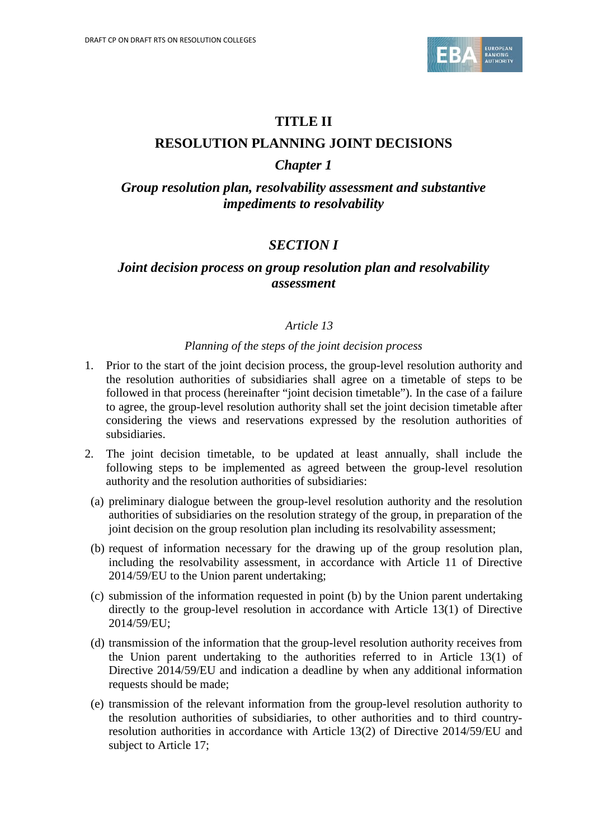

# **TITLE II**

## **RESOLUTION PLANNING JOINT DECISIONS**

# *Chapter 1*

# *Group resolution plan, resolvability assessment and substantive impediments to resolvability*

# *SECTION I*

## *Joint decision process on group resolution plan and resolvability assessment*

## *Article 13*

#### *Planning of the steps of the joint decision process*

- 1. Prior to the start of the joint decision process, the group-level resolution authority and the resolution authorities of subsidiaries shall agree on a timetable of steps to be followed in that process (hereinafter "joint decision timetable"). In the case of a failure to agree, the group-level resolution authority shall set the joint decision timetable after considering the views and reservations expressed by the resolution authorities of subsidiaries.
- 2. The joint decision timetable, to be updated at least annually, shall include the following steps to be implemented as agreed between the group-level resolution authority and the resolution authorities of subsidiaries:
- (a) preliminary dialogue between the group-level resolution authority and the resolution authorities of subsidiaries on the resolution strategy of the group, in preparation of the joint decision on the group resolution plan including its resolvability assessment;
- (b) request of information necessary for the drawing up of the group resolution plan, including the resolvability assessment, in accordance with Article 11 of Directive 2014/59/EU to the Union parent undertaking;
- (c) submission of the information requested in point (b) by the Union parent undertaking directly to the group-level resolution in accordance with Article 13(1) of Directive 2014/59/EU;
- (d) transmission of the information that the group-level resolution authority receives from the Union parent undertaking to the authorities referred to in Article 13(1) of Directive 2014/59/EU and indication a deadline by when any additional information requests should be made;
- (e) transmission of the relevant information from the group-level resolution authority to the resolution authorities of subsidiaries, to other authorities and to third countryresolution authorities in accordance with Article 13(2) of Directive 2014/59/EU and subject to Article 17;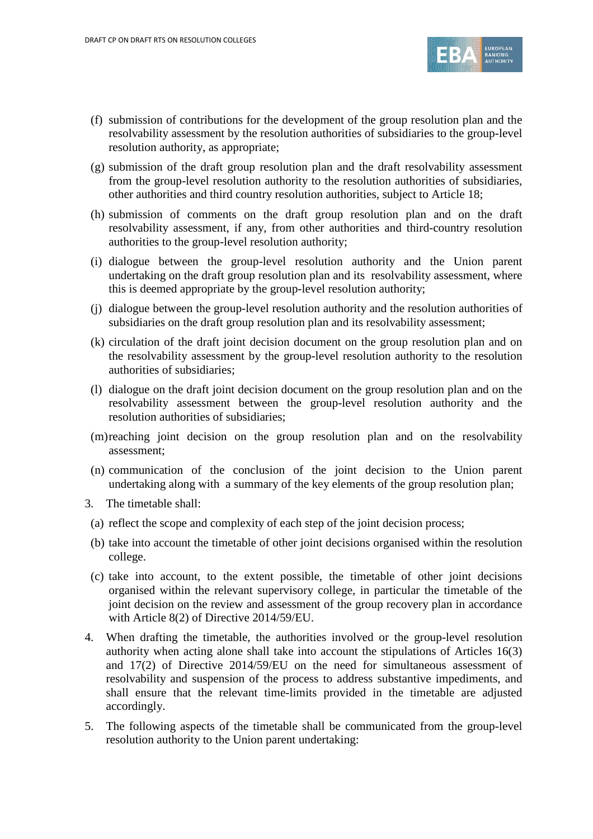

- (f) submission of contributions for the development of the group resolution plan and the resolvability assessment by the resolution authorities of subsidiaries to the group-level resolution authority, as appropriate;
- (g) submission of the draft group resolution plan and the draft resolvability assessment from the group-level resolution authority to the resolution authorities of subsidiaries, other authorities and third country resolution authorities, subject to Article 18;
- (h) submission of comments on the draft group resolution plan and on the draft resolvability assessment, if any, from other authorities and third-country resolution authorities to the group-level resolution authority;
- (i) dialogue between the group-level resolution authority and the Union parent undertaking on the draft group resolution plan and its resolvability assessment, where this is deemed appropriate by the group-level resolution authority;
- (j) dialogue between the group-level resolution authority and the resolution authorities of subsidiaries on the draft group resolution plan and its resolvability assessment;
- (k) circulation of the draft joint decision document on the group resolution plan and on the resolvability assessment by the group-level resolution authority to the resolution authorities of subsidiaries;
- (l) dialogue on the draft joint decision document on the group resolution plan and on the resolvability assessment between the group-level resolution authority and the resolution authorities of subsidiaries;
- (m)reaching joint decision on the group resolution plan and on the resolvability assessment;
- (n) communication of the conclusion of the joint decision to the Union parent undertaking along with a summary of the key elements of the group resolution plan;
- 3. The timetable shall:
- (a) reflect the scope and complexity of each step of the joint decision process;
- (b) take into account the timetable of other joint decisions organised within the resolution college.
- (c) take into account, to the extent possible, the timetable of other joint decisions organised within the relevant supervisory college, in particular the timetable of the joint decision on the review and assessment of the group recovery plan in accordance with Article 8(2) of Directive 2014/59/EU.
- 4. When drafting the timetable, the authorities involved or the group-level resolution authority when acting alone shall take into account the stipulations of Articles 16(3) and 17(2) of Directive 2014/59/EU on the need for simultaneous assessment of resolvability and suspension of the process to address substantive impediments, and shall ensure that the relevant time-limits provided in the timetable are adjusted accordingly.
- 5. The following aspects of the timetable shall be communicated from the group-level resolution authority to the Union parent undertaking: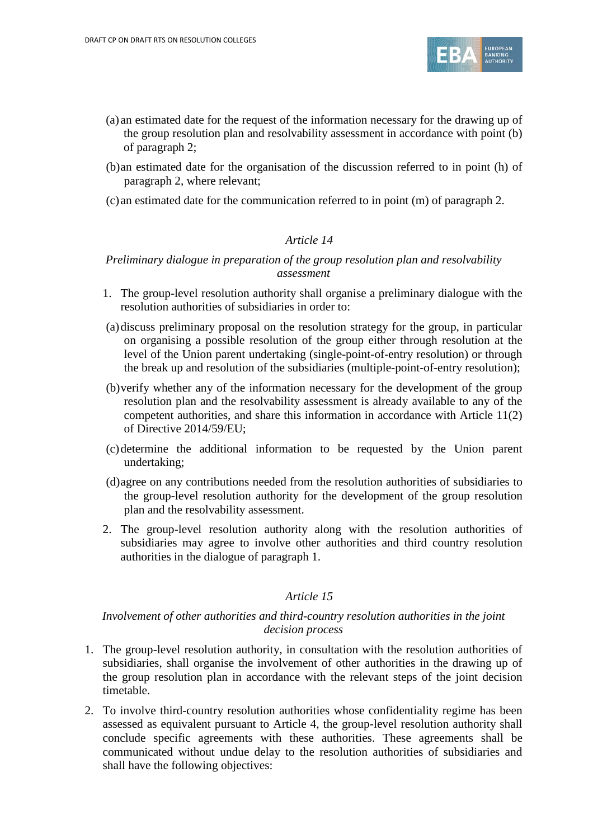

- (a) an estimated date for the request of the information necessary for the drawing up of the group resolution plan and resolvability assessment in accordance with point (b) of paragraph 2;
- (b)an estimated date for the organisation of the discussion referred to in point (h) of paragraph 2, where relevant;
- (c) an estimated date for the communication referred to in point (m) of paragraph 2.

## *Preliminary dialogue in preparation of the group resolution plan and resolvability assessment*

- 1. The group-level resolution authority shall organise a preliminary dialogue with the resolution authorities of subsidiaries in order to:
- (a)discuss preliminary proposal on the resolution strategy for the group, in particular on organising a possible resolution of the group either through resolution at the level of the Union parent undertaking (single-point-of-entry resolution) or through the break up and resolution of the subsidiaries (multiple-point-of-entry resolution);
- (b)verify whether any of the information necessary for the development of the group resolution plan and the resolvability assessment is already available to any of the competent authorities, and share this information in accordance with Article 11(2) of Directive 2014/59/EU;
- (c)determine the additional information to be requested by the Union parent undertaking;
- (d)agree on any contributions needed from the resolution authorities of subsidiaries to the group-level resolution authority for the development of the group resolution plan and the resolvability assessment.
- 2. The group-level resolution authority along with the resolution authorities of subsidiaries may agree to involve other authorities and third country resolution authorities in the dialogue of paragraph 1.

## *Article 15*

## *Involvement of other authorities and third-country resolution authorities in the joint decision process*

- 1. The group-level resolution authority, in consultation with the resolution authorities of subsidiaries, shall organise the involvement of other authorities in the drawing up of the group resolution plan in accordance with the relevant steps of the joint decision timetable.
- 2. To involve third-country resolution authorities whose confidentiality regime has been assessed as equivalent pursuant to Article 4, the group-level resolution authority shall conclude specific agreements with these authorities. These agreements shall be communicated without undue delay to the resolution authorities of subsidiaries and shall have the following objectives: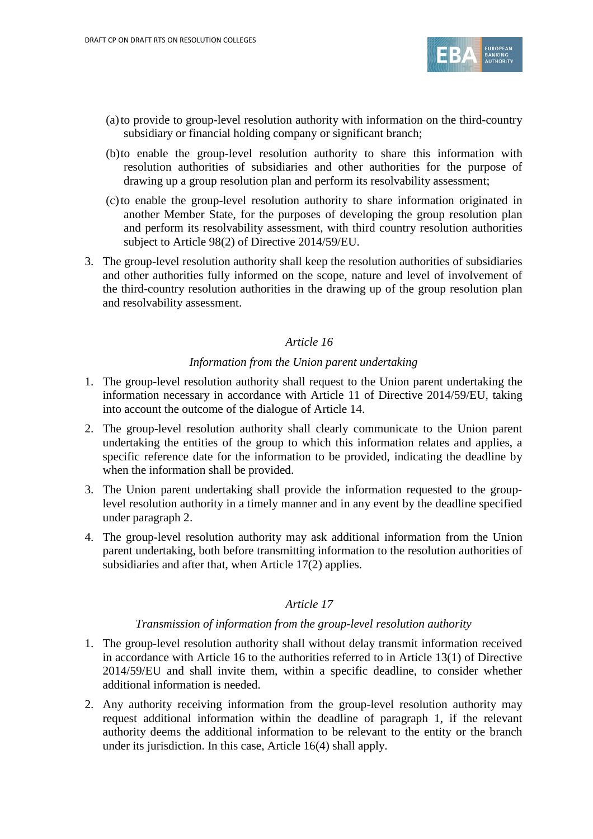

- (a)to provide to group-level resolution authority with information on the third-country subsidiary or financial holding company or significant branch;
- (b)to enable the group-level resolution authority to share this information with resolution authorities of subsidiaries and other authorities for the purpose of drawing up a group resolution plan and perform its resolvability assessment;
- (c)to enable the group-level resolution authority to share information originated in another Member State, for the purposes of developing the group resolution plan and perform its resolvability assessment, with third country resolution authorities subject to Article 98(2) of Directive 2014/59/EU.
- 3. The group-level resolution authority shall keep the resolution authorities of subsidiaries and other authorities fully informed on the scope, nature and level of involvement of the third-country resolution authorities in the drawing up of the group resolution plan and resolvability assessment.

#### *Information from the Union parent undertaking*

- 1. The group-level resolution authority shall request to the Union parent undertaking the information necessary in accordance with Article 11 of Directive 2014/59/EU, taking into account the outcome of the dialogue of Article 14.
- 2. The group-level resolution authority shall clearly communicate to the Union parent undertaking the entities of the group to which this information relates and applies, a specific reference date for the information to be provided, indicating the deadline by when the information shall be provided.
- 3. The Union parent undertaking shall provide the information requested to the grouplevel resolution authority in a timely manner and in any event by the deadline specified under paragraph 2.
- 4. The group-level resolution authority may ask additional information from the Union parent undertaking, both before transmitting information to the resolution authorities of subsidiaries and after that, when Article 17(2) applies.

## *Article 17*

#### *Transmission of information from the group-level resolution authority*

- 1. The group-level resolution authority shall without delay transmit information received in accordance with Article 16 to the authorities referred to in Article 13(1) of Directive 2014/59/EU and shall invite them, within a specific deadline, to consider whether additional information is needed.
- 2. Any authority receiving information from the group-level resolution authority may request additional information within the deadline of paragraph 1, if the relevant authority deems the additional information to be relevant to the entity or the branch under its jurisdiction. In this case, Article 16(4) shall apply.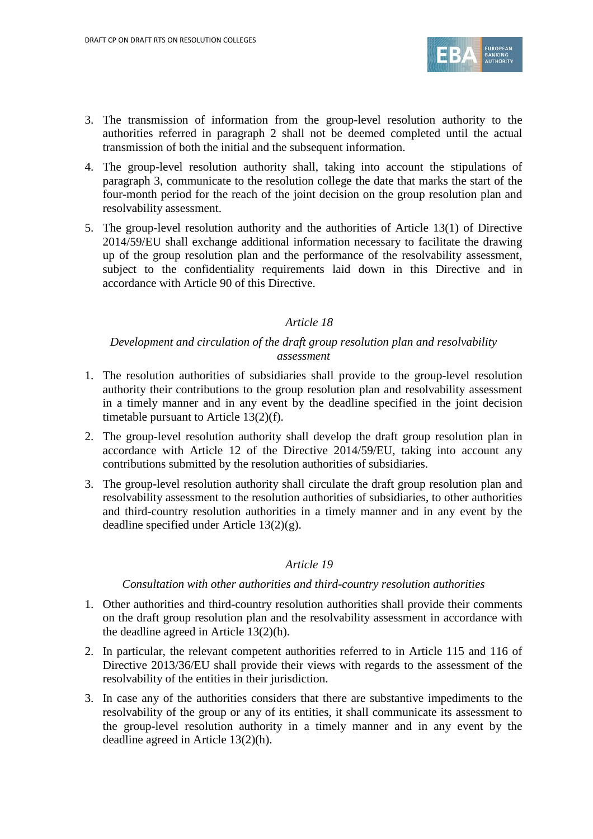

- 3. The transmission of information from the group-level resolution authority to the authorities referred in paragraph 2 shall not be deemed completed until the actual transmission of both the initial and the subsequent information.
- 4. The group-level resolution authority shall, taking into account the stipulations of paragraph 3, communicate to the resolution college the date that marks the start of the four-month period for the reach of the joint decision on the group resolution plan and resolvability assessment.
- 5. The group-level resolution authority and the authorities of Article 13(1) of Directive 2014/59/EU shall exchange additional information necessary to facilitate the drawing up of the group resolution plan and the performance of the resolvability assessment, subject to the confidentiality requirements laid down in this Directive and in accordance with Article 90 of this Directive.

## *Development and circulation of the draft group resolution plan and resolvability assessment*

- 1. The resolution authorities of subsidiaries shall provide to the group-level resolution authority their contributions to the group resolution plan and resolvability assessment in a timely manner and in any event by the deadline specified in the joint decision timetable pursuant to Article 13(2)(f).
- 2. The group-level resolution authority shall develop the draft group resolution plan in accordance with Article 12 of the Directive 2014/59/EU, taking into account any contributions submitted by the resolution authorities of subsidiaries.
- 3. The group-level resolution authority shall circulate the draft group resolution plan and resolvability assessment to the resolution authorities of subsidiaries, to other authorities and third-country resolution authorities in a timely manner and in any event by the deadline specified under Article 13(2)(g).

## *Article 19*

#### *Consultation with other authorities and third-country resolution authorities*

- 1. Other authorities and third-country resolution authorities shall provide their comments on the draft group resolution plan and the resolvability assessment in accordance with the deadline agreed in Article 13(2)(h).
- 2. In particular, the relevant competent authorities referred to in Article 115 and 116 of Directive 2013/36/EU shall provide their views with regards to the assessment of the resolvability of the entities in their jurisdiction.
- 3. In case any of the authorities considers that there are substantive impediments to the resolvability of the group or any of its entities, it shall communicate its assessment to the group-level resolution authority in a timely manner and in any event by the deadline agreed in Article 13(2)(h).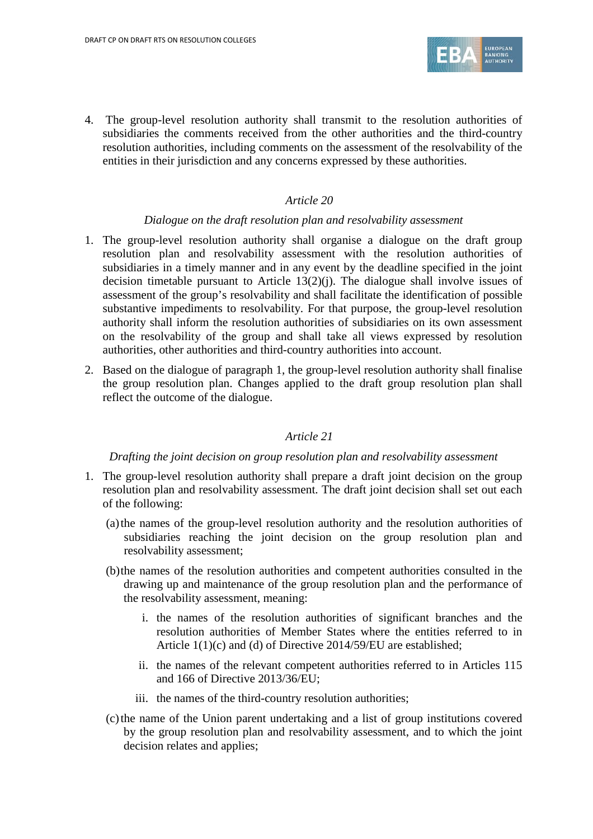

4. The group-level resolution authority shall transmit to the resolution authorities of subsidiaries the comments received from the other authorities and the third-country resolution authorities, including comments on the assessment of the resolvability of the entities in their jurisdiction and any concerns expressed by these authorities.

#### *Article 20*

#### *Dialogue on the draft resolution plan and resolvability assessment*

- 1. The group-level resolution authority shall organise a dialogue on the draft group resolution plan and resolvability assessment with the resolution authorities of subsidiaries in a timely manner and in any event by the deadline specified in the joint decision timetable pursuant to Article 13(2)(j). The dialogue shall involve issues of assessment of the group's resolvability and shall facilitate the identification of possible substantive impediments to resolvability. For that purpose, the group-level resolution authority shall inform the resolution authorities of subsidiaries on its own assessment on the resolvability of the group and shall take all views expressed by resolution authorities, other authorities and third-country authorities into account.
- 2. Based on the dialogue of paragraph 1, the group-level resolution authority shall finalise the group resolution plan. Changes applied to the draft group resolution plan shall reflect the outcome of the dialogue.

#### *Article 21*

#### *Drafting the joint decision on group resolution plan and resolvability assessment*

- 1. The group-level resolution authority shall prepare a draft joint decision on the group resolution plan and resolvability assessment. The draft joint decision shall set out each of the following:
	- (a)the names of the group-level resolution authority and the resolution authorities of subsidiaries reaching the joint decision on the group resolution plan and resolvability assessment;
	- (b)the names of the resolution authorities and competent authorities consulted in the drawing up and maintenance of the group resolution plan and the performance of the resolvability assessment, meaning:
		- i. the names of the resolution authorities of significant branches and the resolution authorities of Member States where the entities referred to in Article 1(1)(c) and (d) of Directive 2014/59/EU are established;
		- ii. the names of the relevant competent authorities referred to in Articles 115 and 166 of Directive 2013/36/EU;
		- iii. the names of the third-country resolution authorities;
	- (c)the name of the Union parent undertaking and a list of group institutions covered by the group resolution plan and resolvability assessment, and to which the joint decision relates and applies;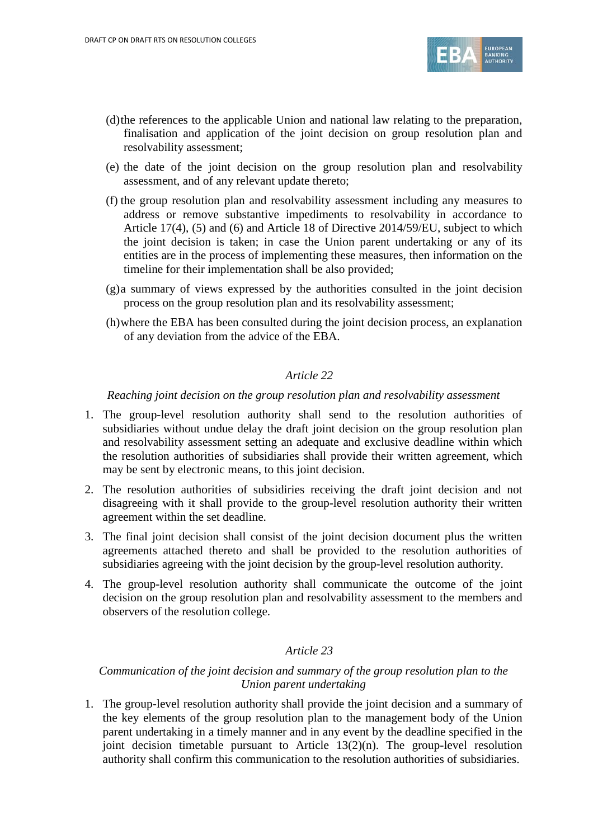

- (d)the references to the applicable Union and national law relating to the preparation, finalisation and application of the joint decision on group resolution plan and resolvability assessment;
- (e) the date of the joint decision on the group resolution plan and resolvability assessment, and of any relevant update thereto;
- (f) the group resolution plan and resolvability assessment including any measures to address or remove substantive impediments to resolvability in accordance to Article 17(4), (5) and (6) and Article 18 of Directive 2014/59/EU, subject to which the joint decision is taken; in case the Union parent undertaking or any of its entities are in the process of implementing these measures, then information on the timeline for their implementation shall be also provided;
- (g)a summary of views expressed by the authorities consulted in the joint decision process on the group resolution plan and its resolvability assessment;
- (h)where the EBA has been consulted during the joint decision process, an explanation of any deviation from the advice of the EBA.

#### *Reaching joint decision on the group resolution plan and resolvability assessment*

- 1. The group-level resolution authority shall send to the resolution authorities of subsidiaries without undue delay the draft joint decision on the group resolution plan and resolvability assessment setting an adequate and exclusive deadline within which the resolution authorities of subsidiaries shall provide their written agreement, which may be sent by electronic means, to this joint decision.
- 2. The resolution authorities of subsidiries receiving the draft joint decision and not disagreeing with it shall provide to the group-level resolution authority their written agreement within the set deadline.
- 3. The final joint decision shall consist of the joint decision document plus the written agreements attached thereto and shall be provided to the resolution authorities of subsidiaries agreeing with the joint decision by the group-level resolution authority.
- 4. The group-level resolution authority shall communicate the outcome of the joint decision on the group resolution plan and resolvability assessment to the members and observers of the resolution college.

## *Article 23*

## *Communication of the joint decision and summary of the group resolution plan to the Union parent undertaking*

1. The group-level resolution authority shall provide the joint decision and a summary of the key elements of the group resolution plan to the management body of the Union parent undertaking in a timely manner and in any event by the deadline specified in the joint decision timetable pursuant to Article 13(2)(n). The group-level resolution authority shall confirm this communication to the resolution authorities of subsidiaries.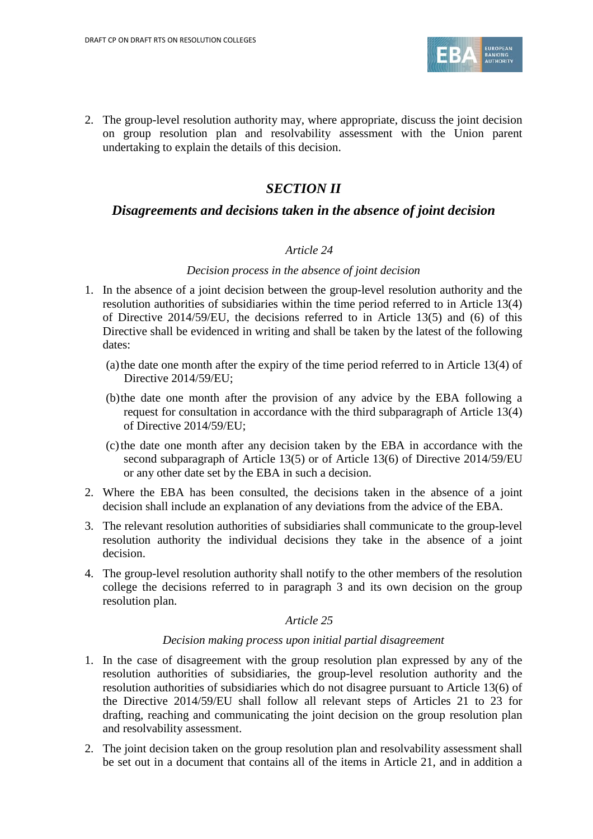

2. The group-level resolution authority may, where appropriate, discuss the joint decision on group resolution plan and resolvability assessment with the Union parent undertaking to explain the details of this decision.

# *SECTION II*

## *Disagreements and decisions taken in the absence of joint decision*

#### *Article 24*

#### *Decision process in the absence of joint decision*

- 1. In the absence of a joint decision between the group-level resolution authority and the resolution authorities of subsidiaries within the time period referred to in Article 13(4) of Directive 2014/59/EU, the decisions referred to in Article 13(5) and (6) of this Directive shall be evidenced in writing and shall be taken by the latest of the following dates:
	- (a)the date one month after the expiry of the time period referred to in Article 13(4) of Directive 2014/59/EU;
	- (b)the date one month after the provision of any advice by the EBA following a request for consultation in accordance with the third subparagraph of Article 13(4) of Directive 2014/59/EU;
	- (c)the date one month after any decision taken by the EBA in accordance with the second subparagraph of Article 13(5) or of Article 13(6) of Directive 2014/59/EU or any other date set by the EBA in such a decision.
- 2. Where the EBA has been consulted, the decisions taken in the absence of a joint decision shall include an explanation of any deviations from the advice of the EBA.
- 3. The relevant resolution authorities of subsidiaries shall communicate to the group-level resolution authority the individual decisions they take in the absence of a joint decision.
- 4. The group-level resolution authority shall notify to the other members of the resolution college the decisions referred to in paragraph 3 and its own decision on the group resolution plan.

#### *Article 25*

#### *Decision making process upon initial partial disagreement*

- 1. In the case of disagreement with the group resolution plan expressed by any of the resolution authorities of subsidiaries, the group-level resolution authority and the resolution authorities of subsidiaries which do not disagree pursuant to Article 13(6) of the Directive 2014/59/EU shall follow all relevant steps of Articles 21 to 23 for drafting, reaching and communicating the joint decision on the group resolution plan and resolvability assessment.
- 2. The joint decision taken on the group resolution plan and resolvability assessment shall be set out in a document that contains all of the items in Article 21, and in addition a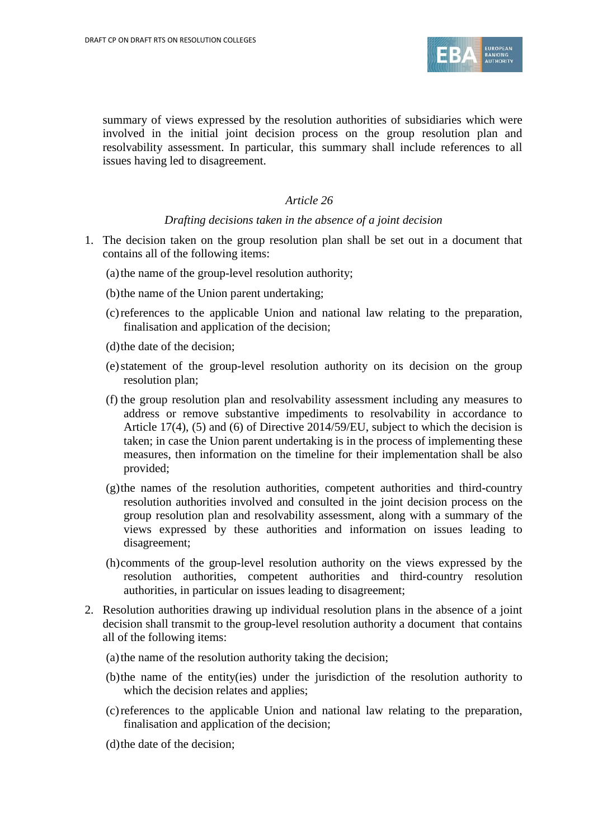

summary of views expressed by the resolution authorities of subsidiaries which were involved in the initial joint decision process on the group resolution plan and resolvability assessment. In particular, this summary shall include references to all issues having led to disagreement.

#### *Article 26*

#### *Drafting decisions taken in the absence of a joint decision*

- 1. The decision taken on the group resolution plan shall be set out in a document that contains all of the following items:
	- (a)the name of the group-level resolution authority;
	- (b)the name of the Union parent undertaking;
	- (c)references to the applicable Union and national law relating to the preparation, finalisation and application of the decision;
	- (d)the date of the decision;
	- (e)statement of the group-level resolution authority on its decision on the group resolution plan;
	- (f) the group resolution plan and resolvability assessment including any measures to address or remove substantive impediments to resolvability in accordance to Article 17(4), (5) and (6) of Directive 2014/59/EU, subject to which the decision is taken; in case the Union parent undertaking is in the process of implementing these measures, then information on the timeline for their implementation shall be also provided;
	- (g)the names of the resolution authorities, competent authorities and third-country resolution authorities involved and consulted in the joint decision process on the group resolution plan and resolvability assessment, along with a summary of the views expressed by these authorities and information on issues leading to disagreement;
	- (h)comments of the group-level resolution authority on the views expressed by the resolution authorities, competent authorities and third-country resolution authorities, in particular on issues leading to disagreement;
- 2. Resolution authorities drawing up individual resolution plans in the absence of a joint decision shall transmit to the group-level resolution authority a document that contains all of the following items:
	- (a) the name of the resolution authority taking the decision;
	- (b)the name of the entity(ies) under the jurisdiction of the resolution authority to which the decision relates and applies;
	- (c)references to the applicable Union and national law relating to the preparation, finalisation and application of the decision;
	- (d)the date of the decision;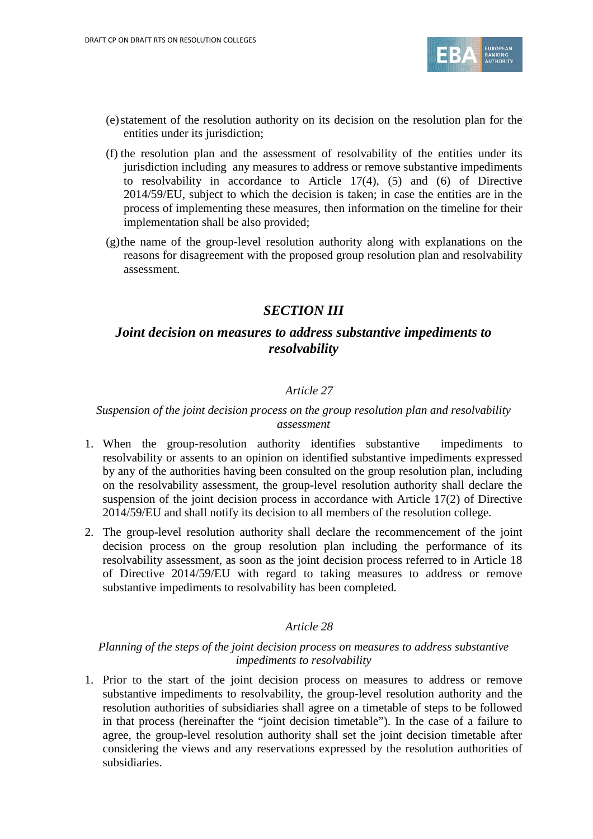

- (e)statement of the resolution authority on its decision on the resolution plan for the entities under its jurisdiction;
- (f) the resolution plan and the assessment of resolvability of the entities under its jurisdiction including any measures to address or remove substantive impediments to resolvability in accordance to Article 17(4), (5) and (6) of Directive 2014/59/EU, subject to which the decision is taken; in case the entities are in the process of implementing these measures, then information on the timeline for their implementation shall be also provided;
- (g)the name of the group-level resolution authority along with explanations on the reasons for disagreement with the proposed group resolution plan and resolvability assessment.

# *SECTION III*

# *Joint decision on measures to address substantive impediments to resolvability*

## *Article 27*

### *Suspension of the joint decision process on the group resolution plan and resolvability assessment*

- 1. When the group-resolution authority identifies substantive impediments to resolvability or assents to an opinion on identified substantive impediments expressed by any of the authorities having been consulted on the group resolution plan, including on the resolvability assessment, the group-level resolution authority shall declare the suspension of the joint decision process in accordance with Article 17(2) of Directive 2014/59/EU and shall notify its decision to all members of the resolution college.
- 2. The group-level resolution authority shall declare the recommencement of the joint decision process on the group resolution plan including the performance of its resolvability assessment, as soon as the joint decision process referred to in Article 18 of Directive 2014/59/EU with regard to taking measures to address or remove substantive impediments to resolvability has been completed.

#### *Article 28*

#### *Planning of the steps of the joint decision process on measures to address substantive impediments to resolvability*

1. Prior to the start of the joint decision process on measures to address or remove substantive impediments to resolvability, the group-level resolution authority and the resolution authorities of subsidiaries shall agree on a timetable of steps to be followed in that process (hereinafter the "joint decision timetable"). In the case of a failure to agree, the group-level resolution authority shall set the joint decision timetable after considering the views and any reservations expressed by the resolution authorities of subsidiaries.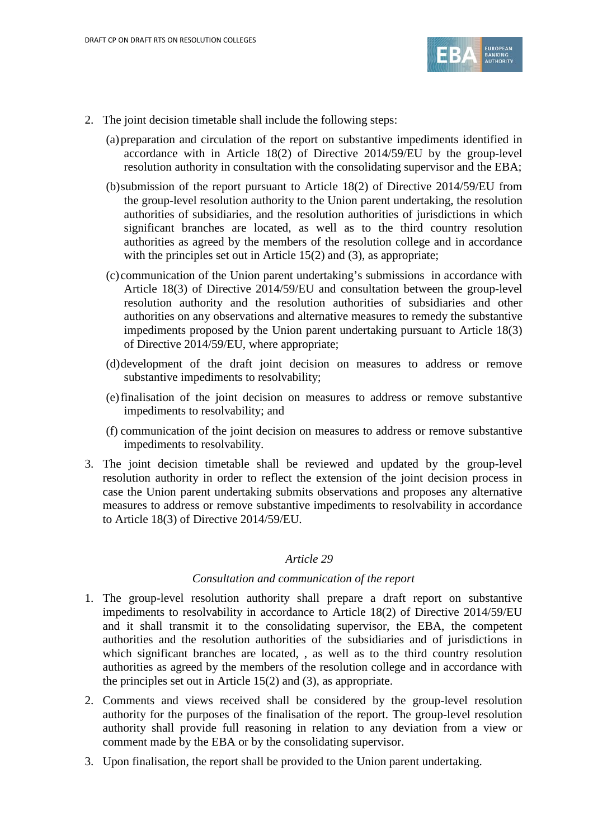

- 2. The joint decision timetable shall include the following steps:
	- (a)preparation and circulation of the report on substantive impediments identified in accordance with in Article 18(2) of Directive 2014/59/EU by the group-level resolution authority in consultation with the consolidating supervisor and the EBA;
	- (b)submission of the report pursuant to Article 18(2) of Directive 2014/59/EU from the group-level resolution authority to the Union parent undertaking, the resolution authorities of subsidiaries, and the resolution authorities of jurisdictions in which significant branches are located, as well as to the third country resolution authorities as agreed by the members of the resolution college and in accordance with the principles set out in Article 15(2) and (3), as appropriate;
	- (c) communication of the Union parent undertaking's submissions in accordance with Article 18(3) of Directive 2014/59/EU and consultation between the group-level resolution authority and the resolution authorities of subsidiaries and other authorities on any observations and alternative measures to remedy the substantive impediments proposed by the Union parent undertaking pursuant to Article 18(3) of Directive 2014/59/EU, where appropriate;
	- (d)development of the draft joint decision on measures to address or remove substantive impediments to resolvability;
	- (e)finalisation of the joint decision on measures to address or remove substantive impediments to resolvability; and
	- (f) communication of the joint decision on measures to address or remove substantive impediments to resolvability.
- 3. The joint decision timetable shall be reviewed and updated by the group-level resolution authority in order to reflect the extension of the joint decision process in case the Union parent undertaking submits observations and proposes any alternative measures to address or remove substantive impediments to resolvability in accordance to Article 18(3) of Directive 2014/59/EU.

#### *Consultation and communication of the report*

- 1. The group-level resolution authority shall prepare a draft report on substantive impediments to resolvability in accordance to Article 18(2) of Directive 2014/59/EU and it shall transmit it to the consolidating supervisor, the EBA, the competent authorities and the resolution authorities of the subsidiaries and of jurisdictions in which significant branches are located, , as well as to the third country resolution authorities as agreed by the members of the resolution college and in accordance with the principles set out in Article 15(2) and (3), as appropriate.
- 2. Comments and views received shall be considered by the group-level resolution authority for the purposes of the finalisation of the report. The group-level resolution authority shall provide full reasoning in relation to any deviation from a view or comment made by the EBA or by the consolidating supervisor.
- 3. Upon finalisation, the report shall be provided to the Union parent undertaking.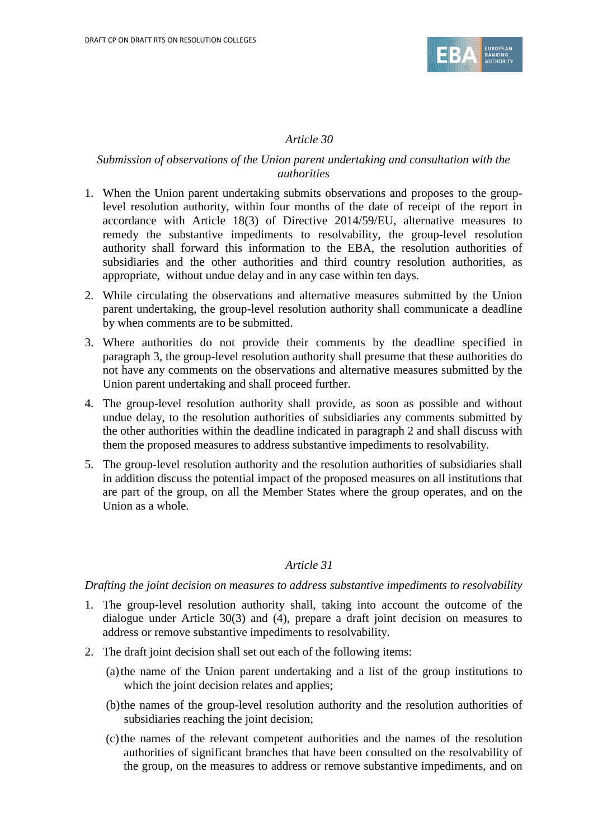

### *Submission of observations of the Union parent undertaking and consultation with the authorities*

- 1. When the Union parent undertaking submits observations and proposes to the grouplevel resolution authority, within four months of the date of receipt of the report in accordance with Article 18(3) of Directive 2014/59/EU, alternative measures to remedy the substantive impediments to resolvability, the group-level resolution authority shall forward this information to the EBA, the resolution authorities of subsidiaries and the other authorities and third country resolution authorities, as appropriate, without undue delay and in any case within ten days.
- 2. While circulating the observations and alternative measures submitted by the Union parent undertaking, the group-level resolution authority shall communicate a deadline by when comments are to be submitted.
- 3. Where authorities do not provide their comments by the deadline specified in paragraph 3, the group-level resolution authority shall presume that these authorities do not have any comments on the observations and alternative measures submitted by the Union parent undertaking and shall proceed further.
- 4. The group-level resolution authority shall provide, as soon as possible and without undue delay, to the resolution authorities of subsidiaries any comments submitted by the other authorities within the deadline indicated in paragraph 2 and shall discuss with them the proposed measures to address substantive impediments to resolvability.
- 5. The group-level resolution authority and the resolution authorities of subsidiaries shall in addition discuss the potential impact of the proposed measures on all institutions that are part of the group, on all the Member States where the group operates, and on the Union as a whole.

#### *Article 31*

*Drafting the joint decision on measures to address substantive impediments to resolvability*

- 1. The group-level resolution authority shall, taking into account the outcome of the dialogue under Article 30(3) and (4), prepare a draft joint decision on measures to address or remove substantive impediments to resolvability.
- 2. The draft joint decision shall set out each of the following items:
	- (a)the name of the Union parent undertaking and a list of the group institutions to which the joint decision relates and applies;
	- (b)the names of the group-level resolution authority and the resolution authorities of subsidiaries reaching the joint decision;
	- (c)the names of the relevant competent authorities and the names of the resolution authorities of significant branches that have been consulted on the resolvability of the group, on the measures to address or remove substantive impediments, and on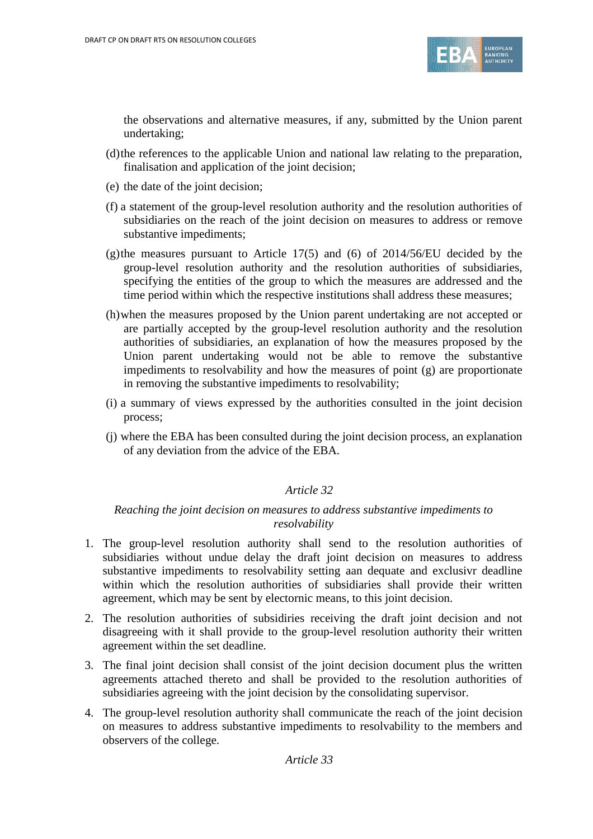

the observations and alternative measures, if any, submitted by the Union parent undertaking;

- (d)the references to the applicable Union and national law relating to the preparation, finalisation and application of the joint decision;
- (e) the date of the joint decision;
- (f) a statement of the group-level resolution authority and the resolution authorities of subsidiaries on the reach of the joint decision on measures to address or remove substantive impediments;
- (g)the measures pursuant to Article  $17(5)$  and (6) of  $2014/56/EU$  decided by the group-level resolution authority and the resolution authorities of subsidiaries, specifying the entities of the group to which the measures are addressed and the time period within which the respective institutions shall address these measures;
- (h)when the measures proposed by the Union parent undertaking are not accepted or are partially accepted by the group-level resolution authority and the resolution authorities of subsidiaries, an explanation of how the measures proposed by the Union parent undertaking would not be able to remove the substantive impediments to resolvability and how the measures of point (g) are proportionate in removing the substantive impediments to resolvability;
- (i) a summary of views expressed by the authorities consulted in the joint decision process;
- (j) where the EBA has been consulted during the joint decision process, an explanation of any deviation from the advice of the EBA.

#### *Article 32*

#### *Reaching the joint decision on measures to address substantive impediments to resolvability*

- 1. The group-level resolution authority shall send to the resolution authorities of subsidiaries without undue delay the draft joint decision on measures to address substantive impediments to resolvability setting aan dequate and exclusivr deadline within which the resolution authorities of subsidiaries shall provide their written agreement, which may be sent by electornic means, to this joint decision.
- 2. The resolution authorities of subsidiries receiving the draft joint decision and not disagreeing with it shall provide to the group-level resolution authority their written agreement within the set deadline.
- 3. The final joint decision shall consist of the joint decision document plus the written agreements attached thereto and shall be provided to the resolution authorities of subsidiaries agreeing with the joint decision by the consolidating supervisor.
- 4. The group-level resolution authority shall communicate the reach of the joint decision on measures to address substantive impediments to resolvability to the members and observers of the college.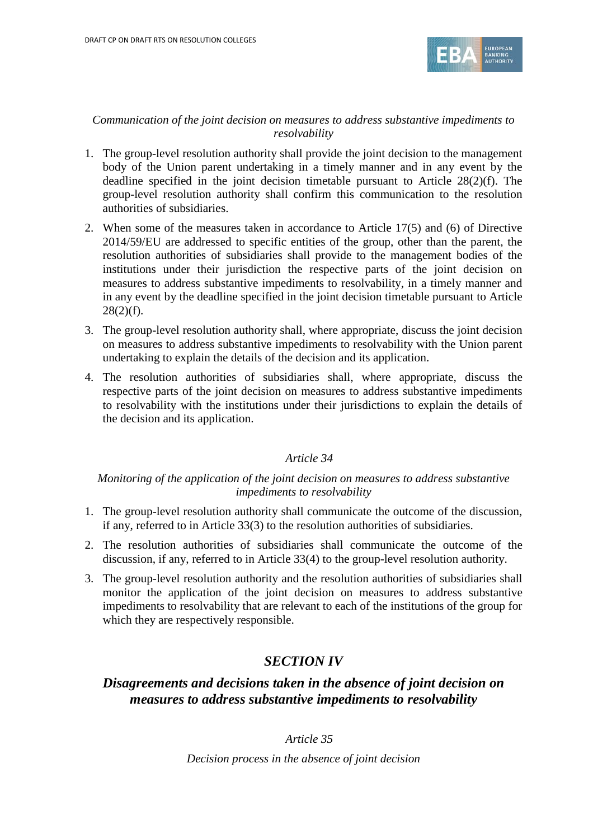

### *Communication of the joint decision on measures to address substantive impediments to resolvability*

- 1. The group-level resolution authority shall provide the joint decision to the management body of the Union parent undertaking in a timely manner and in any event by the deadline specified in the joint decision timetable pursuant to Article 28(2)(f). The group-level resolution authority shall confirm this communication to the resolution authorities of subsidiaries.
- 2. When some of the measures taken in accordance to Article 17(5) and (6) of Directive 2014/59/EU are addressed to specific entities of the group, other than the parent, the resolution authorities of subsidiaries shall provide to the management bodies of the institutions under their jurisdiction the respective parts of the joint decision on measures to address substantive impediments to resolvability, in a timely manner and in any event by the deadline specified in the joint decision timetable pursuant to Article  $28(2)(f)$ .
- 3. The group-level resolution authority shall, where appropriate, discuss the joint decision on measures to address substantive impediments to resolvability with the Union parent undertaking to explain the details of the decision and its application.
- 4. The resolution authorities of subsidiaries shall, where appropriate, discuss the respective parts of the joint decision on measures to address substantive impediments to resolvability with the institutions under their jurisdictions to explain the details of the decision and its application.

## *Article 34*

## *Monitoring of the application of the joint decision on measures to address substantive impediments to resolvability*

- 1. The group-level resolution authority shall communicate the outcome of the discussion, if any, referred to in Article 33(3) to the resolution authorities of subsidiaries.
- 2. The resolution authorities of subsidiaries shall communicate the outcome of the discussion, if any, referred to in Article 33(4) to the group-level resolution authority.
- 3. The group-level resolution authority and the resolution authorities of subsidiaries shall monitor the application of the joint decision on measures to address substantive impediments to resolvability that are relevant to each of the institutions of the group for which they are respectively responsible.

# *SECTION IV*

# *Disagreements and decisions taken in the absence of joint decision on measures to address substantive impediments to resolvability*

## *Article 35*

*Decision process in the absence of joint decision*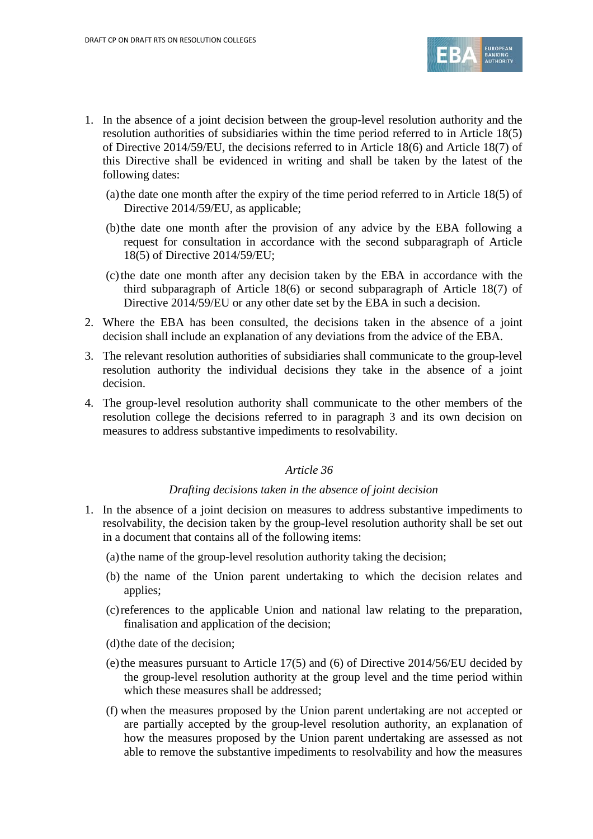

- 1. In the absence of a joint decision between the group-level resolution authority and the resolution authorities of subsidiaries within the time period referred to in Article 18(5) of Directive 2014/59/EU, the decisions referred to in Article 18(6) and Article 18(7) of this Directive shall be evidenced in writing and shall be taken by the latest of the following dates:
	- (a) the date one month after the expiry of the time period referred to in Article  $18(5)$  of Directive 2014/59/EU, as applicable;
	- (b)the date one month after the provision of any advice by the EBA following a request for consultation in accordance with the second subparagraph of Article 18(5) of Directive 2014/59/EU;
	- (c)the date one month after any decision taken by the EBA in accordance with the third subparagraph of Article 18(6) or second subparagraph of Article 18(7) of Directive 2014/59/EU or any other date set by the EBA in such a decision.
- 2. Where the EBA has been consulted, the decisions taken in the absence of a joint decision shall include an explanation of any deviations from the advice of the EBA.
- 3. The relevant resolution authorities of subsidiaries shall communicate to the group-level resolution authority the individual decisions they take in the absence of a joint decision.
- 4. The group-level resolution authority shall communicate to the other members of the resolution college the decisions referred to in paragraph 3 and its own decision on measures to address substantive impediments to resolvability.

#### *Drafting decisions taken in the absence of joint decision*

- 1. In the absence of a joint decision on measures to address substantive impediments to resolvability, the decision taken by the group-level resolution authority shall be set out in a document that contains all of the following items:
	- (a)the name of the group-level resolution authority taking the decision;
	- (b) the name of the Union parent undertaking to which the decision relates and applies;
	- (c)references to the applicable Union and national law relating to the preparation, finalisation and application of the decision;
	- (d)the date of the decision;
	- (e)the measures pursuant to Article 17(5) and (6) of Directive 2014/56/EU decided by the group-level resolution authority at the group level and the time period within which these measures shall be addressed;
	- (f) when the measures proposed by the Union parent undertaking are not accepted or are partially accepted by the group-level resolution authority, an explanation of how the measures proposed by the Union parent undertaking are assessed as not able to remove the substantive impediments to resolvability and how the measures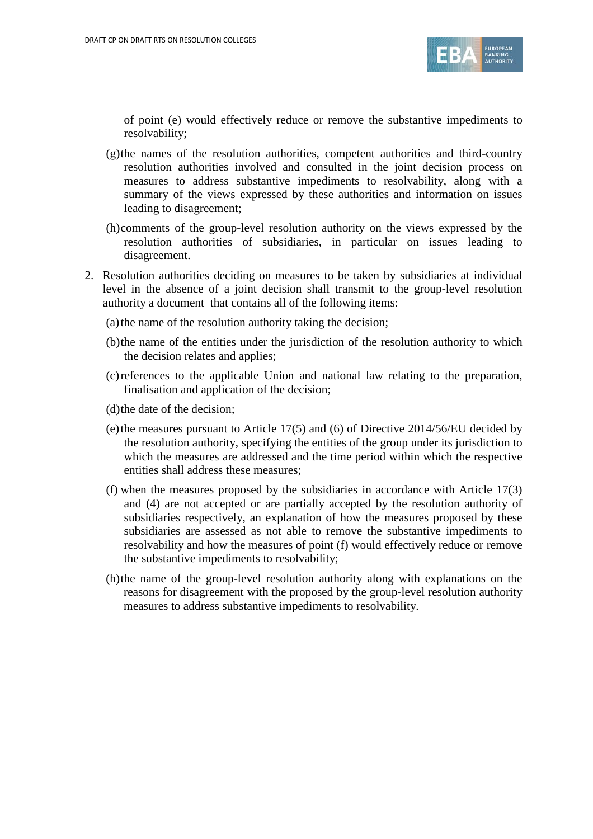

of point (e) would effectively reduce or remove the substantive impediments to resolvability;

- $(g)$ the names of the resolution authorities, competent authorities and third-country resolution authorities involved and consulted in the joint decision process on measures to address substantive impediments to resolvability, along with a summary of the views expressed by these authorities and information on issues leading to disagreement;
- (h)comments of the group-level resolution authority on the views expressed by the resolution authorities of subsidiaries, in particular on issues leading to disagreement.
- 2. Resolution authorities deciding on measures to be taken by subsidiaries at individual level in the absence of a joint decision shall transmit to the group-level resolution authority a document that contains all of the following items:
	- (a) the name of the resolution authority taking the decision;
	- (b)the name of the entities under the jurisdiction of the resolution authority to which the decision relates and applies;
	- (c)references to the applicable Union and national law relating to the preparation, finalisation and application of the decision;
	- (d)the date of the decision;
	- (e) the measures pursuant to Article  $17(5)$  and (6) of Directive 2014/56/EU decided by the resolution authority, specifying the entities of the group under its jurisdiction to which the measures are addressed and the time period within which the respective entities shall address these measures;
	- (f) when the measures proposed by the subsidiaries in accordance with Article 17(3) and (4) are not accepted or are partially accepted by the resolution authority of subsidiaries respectively, an explanation of how the measures proposed by these subsidiaries are assessed as not able to remove the substantive impediments to resolvability and how the measures of point (f) would effectively reduce or remove the substantive impediments to resolvability;
	- (h)the name of the group-level resolution authority along with explanations on the reasons for disagreement with the proposed by the group-level resolution authority measures to address substantive impediments to resolvability.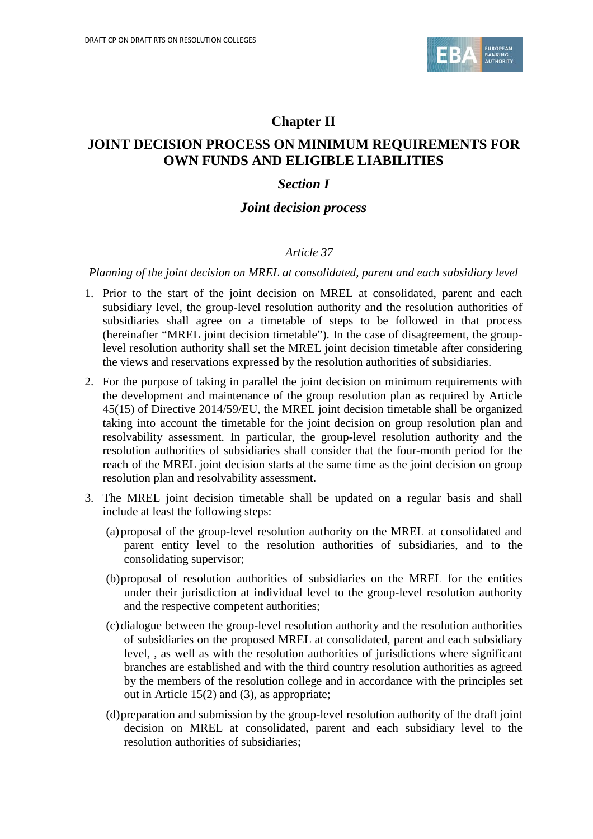

# **Chapter II**

# **JOINT DECISION PROCESS ON MINIMUM REQUIREMENTS FOR OWN FUNDS AND ELIGIBLE LIABILITIES**

# *Section I*

## *Joint decision process*

## *Article 37*

*Planning of the joint decision on MREL at consolidated, parent and each subsidiary level*

- 1. Prior to the start of the joint decision on MREL at consolidated, parent and each subsidiary level, the group-level resolution authority and the resolution authorities of subsidiaries shall agree on a timetable of steps to be followed in that process (hereinafter "MREL joint decision timetable"). In the case of disagreement, the grouplevel resolution authority shall set the MREL joint decision timetable after considering the views and reservations expressed by the resolution authorities of subsidiaries.
- 2. For the purpose of taking in parallel the joint decision on minimum requirements with the development and maintenance of the group resolution plan as required by Article 45(15) of Directive 2014/59/EU, the MREL joint decision timetable shall be organized taking into account the timetable for the joint decision on group resolution plan and resolvability assessment. In particular, the group-level resolution authority and the resolution authorities of subsidiaries shall consider that the four-month period for the reach of the MREL joint decision starts at the same time as the joint decision on group resolution plan and resolvability assessment.
- 3. The MREL joint decision timetable shall be updated on a regular basis and shall include at least the following steps:
	- (a)proposal of the group-level resolution authority on the MREL at consolidated and parent entity level to the resolution authorities of subsidiaries, and to the consolidating supervisor;
	- (b)proposal of resolution authorities of subsidiaries on the MREL for the entities under their jurisdiction at individual level to the group-level resolution authority and the respective competent authorities;
	- (c)dialogue between the group-level resolution authority and the resolution authorities of subsidiaries on the proposed MREL at consolidated, parent and each subsidiary level, , as well as with the resolution authorities of jurisdictions where significant branches are established and with the third country resolution authorities as agreed by the members of the resolution college and in accordance with the principles set out in Article 15(2) and (3), as appropriate;
	- (d)preparation and submission by the group-level resolution authority of the draft joint decision on MREL at consolidated, parent and each subsidiary level to the resolution authorities of subsidiaries;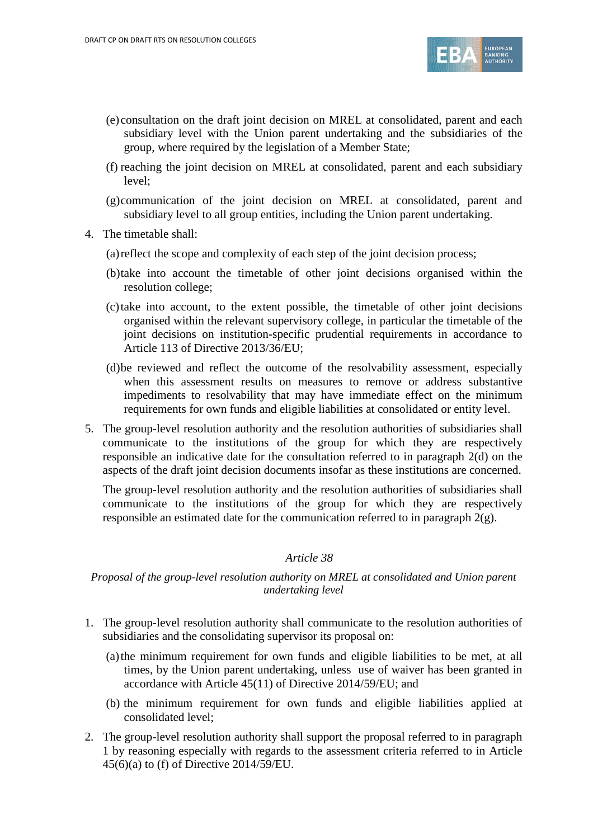

- (e) consultation on the draft joint decision on MREL at consolidated, parent and each subsidiary level with the Union parent undertaking and the subsidiaries of the group, where required by the legislation of a Member State;
- (f) reaching the joint decision on MREL at consolidated, parent and each subsidiary level;
- (g)communication of the joint decision on MREL at consolidated, parent and subsidiary level to all group entities, including the Union parent undertaking.
- 4. The timetable shall:
	- (a)reflect the scope and complexity of each step of the joint decision process;
	- (b)take into account the timetable of other joint decisions organised within the resolution college;
	- (c)take into account, to the extent possible, the timetable of other joint decisions organised within the relevant supervisory college, in particular the timetable of the joint decisions on institution-specific prudential requirements in accordance to Article 113 of Directive 2013/36/EU;
	- (d)be reviewed and reflect the outcome of the resolvability assessment, especially when this assessment results on measures to remove or address substantive impediments to resolvability that may have immediate effect on the minimum requirements for own funds and eligible liabilities at consolidated or entity level.
- 5. The group-level resolution authority and the resolution authorities of subsidiaries shall communicate to the institutions of the group for which they are respectively responsible an indicative date for the consultation referred to in paragraph 2(d) on the aspects of the draft joint decision documents insofar as these institutions are concerned.

The group-level resolution authority and the resolution authorities of subsidiaries shall communicate to the institutions of the group for which they are respectively responsible an estimated date for the communication referred to in paragraph 2(g).

#### *Article 38*

#### *Proposal of the group-level resolution authority on MREL at consolidated and Union parent undertaking level*

- 1. The group-level resolution authority shall communicate to the resolution authorities of subsidiaries and the consolidating supervisor its proposal on:
	- (a)the minimum requirement for own funds and eligible liabilities to be met, at all times, by the Union parent undertaking, unless use of waiver has been granted in accordance with Article 45(11) of Directive 2014/59/EU; and
	- (b) the minimum requirement for own funds and eligible liabilities applied at consolidated level;
- 2. The group-level resolution authority shall support the proposal referred to in paragraph 1 by reasoning especially with regards to the assessment criteria referred to in Article 45(6)(a) to (f) of Directive 2014/59/EU.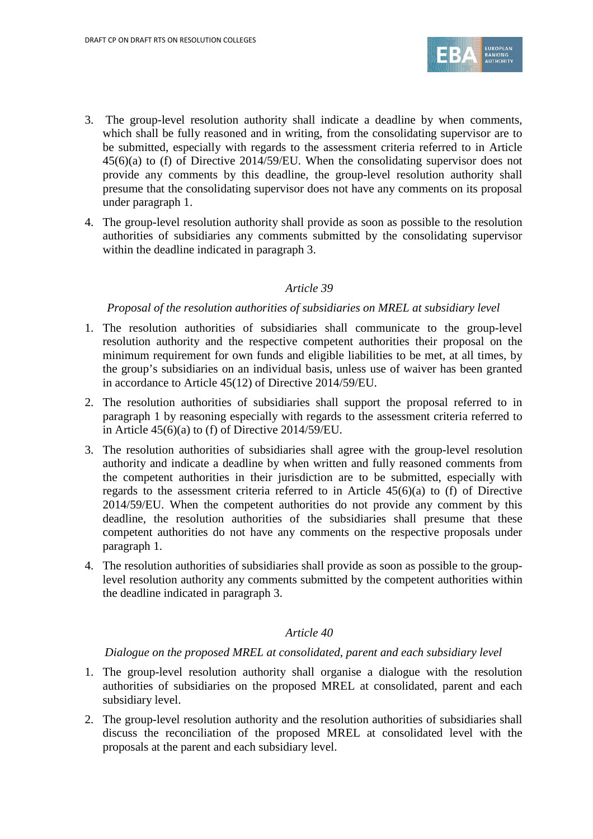

- 3. The group-level resolution authority shall indicate a deadline by when comments, which shall be fully reasoned and in writing, from the consolidating supervisor are to be submitted, especially with regards to the assessment criteria referred to in Article 45(6)(a) to (f) of Directive 2014/59/EU. When the consolidating supervisor does not provide any comments by this deadline, the group-level resolution authority shall presume that the consolidating supervisor does not have any comments on its proposal under paragraph 1.
- 4. The group-level resolution authority shall provide as soon as possible to the resolution authorities of subsidiaries any comments submitted by the consolidating supervisor within the deadline indicated in paragraph 3.

#### *Proposal of the resolution authorities of subsidiaries on MREL at subsidiary level*

- 1. The resolution authorities of subsidiaries shall communicate to the group-level resolution authority and the respective competent authorities their proposal on the minimum requirement for own funds and eligible liabilities to be met, at all times, by the group's subsidiaries on an individual basis, unless use of waiver has been granted in accordance to Article 45(12) of Directive 2014/59/EU.
- 2. The resolution authorities of subsidiaries shall support the proposal referred to in paragraph 1 by reasoning especially with regards to the assessment criteria referred to in Article 45(6)(a) to (f) of Directive 2014/59/EU.
- 3. The resolution authorities of subsidiaries shall agree with the group-level resolution authority and indicate a deadline by when written and fully reasoned comments from the competent authorities in their jurisdiction are to be submitted, especially with regards to the assessment criteria referred to in Article 45(6)(a) to (f) of Directive 2014/59/EU. When the competent authorities do not provide any comment by this deadline, the resolution authorities of the subsidiaries shall presume that these competent authorities do not have any comments on the respective proposals under paragraph 1.
- 4. The resolution authorities of subsidiaries shall provide as soon as possible to the grouplevel resolution authority any comments submitted by the competent authorities within the deadline indicated in paragraph 3.

## *Article 40*

*Dialogue on the proposed MREL at consolidated, parent and each subsidiary level*

- 1. The group-level resolution authority shall organise a dialogue with the resolution authorities of subsidiaries on the proposed MREL at consolidated, parent and each subsidiary level.
- 2. The group-level resolution authority and the resolution authorities of subsidiaries shall discuss the reconciliation of the proposed MREL at consolidated level with the proposals at the parent and each subsidiary level.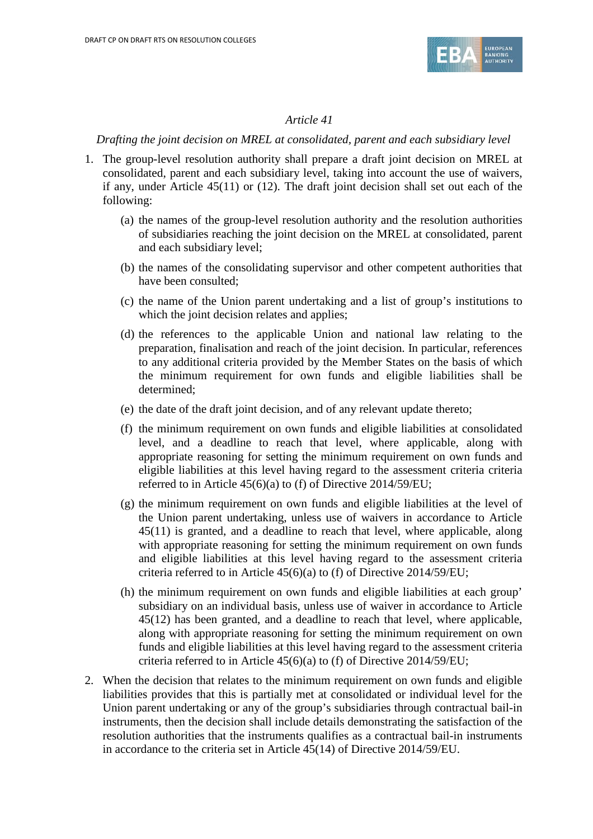

#### *Drafting the joint decision on MREL at consolidated, parent and each subsidiary level*

- 1. The group-level resolution authority shall prepare a draft joint decision on MREL at consolidated, parent and each subsidiary level, taking into account the use of waivers, if any, under Article 45(11) or (12). The draft joint decision shall set out each of the following:
	- (a) the names of the group-level resolution authority and the resolution authorities of subsidiaries reaching the joint decision on the MREL at consolidated, parent and each subsidiary level;
	- (b) the names of the consolidating supervisor and other competent authorities that have been consulted;
	- (c) the name of the Union parent undertaking and a list of group's institutions to which the joint decision relates and applies;
	- (d) the references to the applicable Union and national law relating to the preparation, finalisation and reach of the joint decision. In particular, references to any additional criteria provided by the Member States on the basis of which the minimum requirement for own funds and eligible liabilities shall be determined;
	- (e) the date of the draft joint decision, and of any relevant update thereto;
	- (f) the minimum requirement on own funds and eligible liabilities at consolidated level, and a deadline to reach that level, where applicable, along with appropriate reasoning for setting the minimum requirement on own funds and eligible liabilities at this level having regard to the assessment criteria criteria referred to in Article 45(6)(a) to (f) of Directive 2014/59/EU;
	- (g) the minimum requirement on own funds and eligible liabilities at the level of the Union parent undertaking, unless use of waivers in accordance to Article 45(11) is granted, and a deadline to reach that level, where applicable, along with appropriate reasoning for setting the minimum requirement on own funds and eligible liabilities at this level having regard to the assessment criteria criteria referred to in Article 45(6)(a) to (f) of Directive 2014/59/EU;
	- (h) the minimum requirement on own funds and eligible liabilities at each group' subsidiary on an individual basis, unless use of waiver in accordance to Article 45(12) has been granted, and a deadline to reach that level, where applicable, along with appropriate reasoning for setting the minimum requirement on own funds and eligible liabilities at this level having regard to the assessment criteria criteria referred to in Article 45(6)(a) to (f) of Directive 2014/59/EU;
- 2. When the decision that relates to the minimum requirement on own funds and eligible liabilities provides that this is partially met at consolidated or individual level for the Union parent undertaking or any of the group's subsidiaries through contractual bail-in instruments, then the decision shall include details demonstrating the satisfaction of the resolution authorities that the instruments qualifies as a contractual bail-in instruments in accordance to the criteria set in Article 45(14) of Directive 2014/59/EU.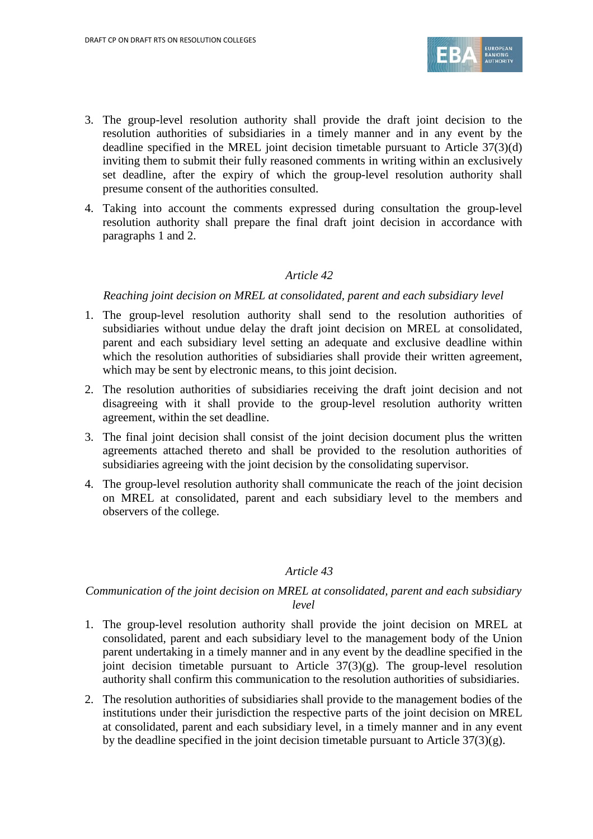

- 3. The group-level resolution authority shall provide the draft joint decision to the resolution authorities of subsidiaries in a timely manner and in any event by the deadline specified in the MREL joint decision timetable pursuant to Article 37(3)(d) inviting them to submit their fully reasoned comments in writing within an exclusively set deadline, after the expiry of which the group-level resolution authority shall presume consent of the authorities consulted.
- 4. Taking into account the comments expressed during consultation the group-level resolution authority shall prepare the final draft joint decision in accordance with paragraphs 1 and 2.

#### *Reaching joint decision on MREL at consolidated, parent and each subsidiary level*

- 1. The group-level resolution authority shall send to the resolution authorities of subsidiaries without undue delay the draft joint decision on MREL at consolidated, parent and each subsidiary level setting an adequate and exclusive deadline within which the resolution authorities of subsidiaries shall provide their written agreement, which may be sent by electronic means, to this joint decision.
- 2. The resolution authorities of subsidiaries receiving the draft joint decision and not disagreeing with it shall provide to the group-level resolution authority written agreement, within the set deadline.
- 3. The final joint decision shall consist of the joint decision document plus the written agreements attached thereto and shall be provided to the resolution authorities of subsidiaries agreeing with the joint decision by the consolidating supervisor.
- 4. The group-level resolution authority shall communicate the reach of the joint decision on MREL at consolidated, parent and each subsidiary level to the members and observers of the college.

#### *Article 43*

## *Communication of the joint decision on MREL at consolidated, parent and each subsidiary level*

- 1. The group-level resolution authority shall provide the joint decision on MREL at consolidated, parent and each subsidiary level to the management body of the Union parent undertaking in a timely manner and in any event by the deadline specified in the joint decision timetable pursuant to Article 37(3)(g). The group-level resolution authority shall confirm this communication to the resolution authorities of subsidiaries.
- 2. The resolution authorities of subsidiaries shall provide to the management bodies of the institutions under their jurisdiction the respective parts of the joint decision on MREL at consolidated, parent and each subsidiary level, in a timely manner and in any event by the deadline specified in the joint decision timetable pursuant to Article  $37(3)(g)$ .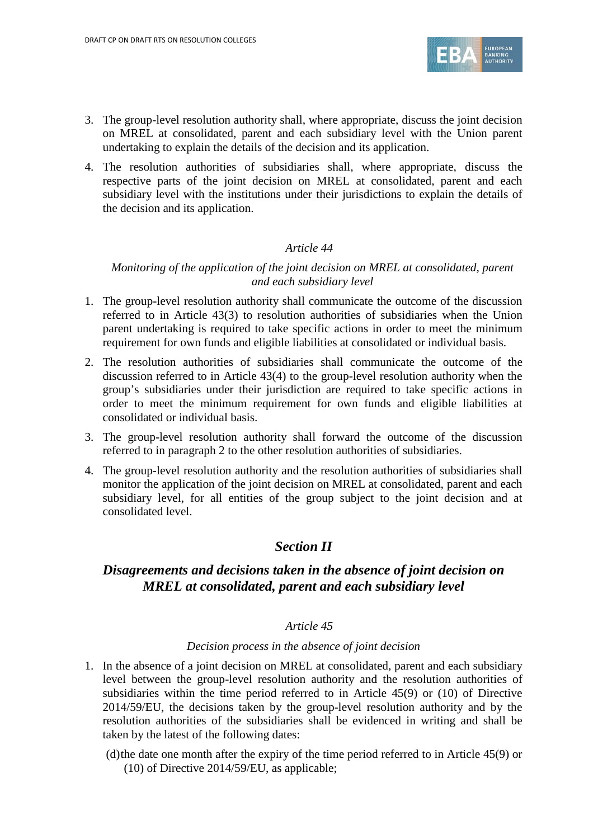

- 3. The group-level resolution authority shall, where appropriate, discuss the joint decision on MREL at consolidated, parent and each subsidiary level with the Union parent undertaking to explain the details of the decision and its application.
- 4. The resolution authorities of subsidiaries shall, where appropriate, discuss the respective parts of the joint decision on MREL at consolidated, parent and each subsidiary level with the institutions under their jurisdictions to explain the details of the decision and its application.

#### *Monitoring of the application of the joint decision on MREL at consolidated, parent and each subsidiary level*

- 1. The group-level resolution authority shall communicate the outcome of the discussion referred to in Article 43(3) to resolution authorities of subsidiaries when the Union parent undertaking is required to take specific actions in order to meet the minimum requirement for own funds and eligible liabilities at consolidated or individual basis.
- 2. The resolution authorities of subsidiaries shall communicate the outcome of the discussion referred to in Article 43(4) to the group-level resolution authority when the group's subsidiaries under their jurisdiction are required to take specific actions in order to meet the minimum requirement for own funds and eligible liabilities at consolidated or individual basis.
- 3. The group-level resolution authority shall forward the outcome of the discussion referred to in paragraph 2 to the other resolution authorities of subsidiaries.
- 4. The group-level resolution authority and the resolution authorities of subsidiaries shall monitor the application of the joint decision on MREL at consolidated, parent and each subsidiary level, for all entities of the group subject to the joint decision and at consolidated level.

## *Section II*

# *Disagreements and decisions taken in the absence of joint decision on MREL at consolidated, parent and each subsidiary level*

## *Article 45*

#### *Decision process in the absence of joint decision*

- 1. In the absence of a joint decision on MREL at consolidated, parent and each subsidiary level between the group-level resolution authority and the resolution authorities of subsidiaries within the time period referred to in Article 45(9) or (10) of Directive 2014/59/EU, the decisions taken by the group-level resolution authority and by the resolution authorities of the subsidiaries shall be evidenced in writing and shall be taken by the latest of the following dates:
	- (d)the date one month after the expiry of the time period referred to in Article 45(9) or (10) of Directive 2014/59/EU, as applicable;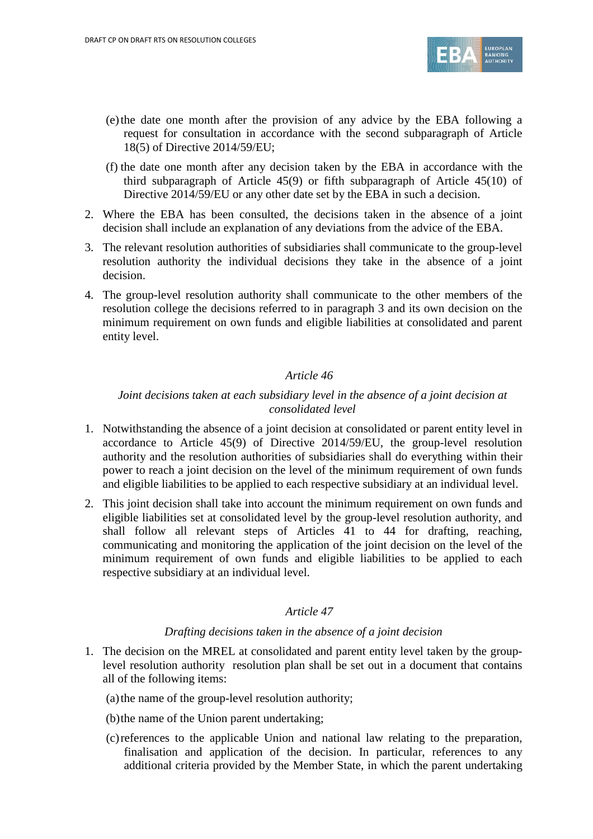

- (e)the date one month after the provision of any advice by the EBA following a request for consultation in accordance with the second subparagraph of Article 18(5) of Directive 2014/59/EU;
- (f) the date one month after any decision taken by the EBA in accordance with the third subparagraph of Article 45(9) or fifth subparagraph of Article 45(10) of Directive 2014/59/EU or any other date set by the EBA in such a decision.
- 2. Where the EBA has been consulted, the decisions taken in the absence of a joint decision shall include an explanation of any deviations from the advice of the EBA.
- 3. The relevant resolution authorities of subsidiaries shall communicate to the group-level resolution authority the individual decisions they take in the absence of a joint decision.
- 4. The group-level resolution authority shall communicate to the other members of the resolution college the decisions referred to in paragraph 3 and its own decision on the minimum requirement on own funds and eligible liabilities at consolidated and parent entity level.

## *Joint decisions taken at each subsidiary level in the absence of a joint decision at consolidated level*

- 1. Notwithstanding the absence of a joint decision at consolidated or parent entity level in accordance to Article 45(9) of Directive 2014/59/EU, the group-level resolution authority and the resolution authorities of subsidiaries shall do everything within their power to reach a joint decision on the level of the minimum requirement of own funds and eligible liabilities to be applied to each respective subsidiary at an individual level.
- 2. This joint decision shall take into account the minimum requirement on own funds and eligible liabilities set at consolidated level by the group-level resolution authority, and shall follow all relevant steps of Articles 41 to 44 for drafting, reaching, communicating and monitoring the application of the joint decision on the level of the minimum requirement of own funds and eligible liabilities to be applied to each respective subsidiary at an individual level.

#### *Article 47*

#### *Drafting decisions taken in the absence of a joint decision*

1. The decision on the MREL at consolidated and parent entity level taken by the grouplevel resolution authority resolution plan shall be set out in a document that contains all of the following items:

(a)the name of the group-level resolution authority;

(b)the name of the Union parent undertaking;

(c)references to the applicable Union and national law relating to the preparation, finalisation and application of the decision. In particular, references to any additional criteria provided by the Member State, in which the parent undertaking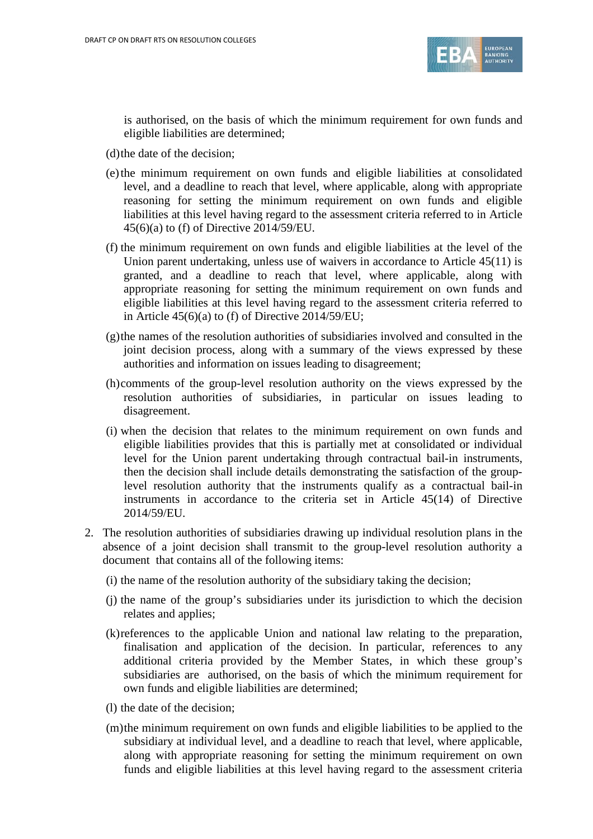

is authorised, on the basis of which the minimum requirement for own funds and eligible liabilities are determined;

(d)the date of the decision;

- (e)the minimum requirement on own funds and eligible liabilities at consolidated level, and a deadline to reach that level, where applicable, along with appropriate reasoning for setting the minimum requirement on own funds and eligible liabilities at this level having regard to the assessment criteria referred to in Article 45(6)(a) to (f) of Directive 2014/59/EU.
- (f) the minimum requirement on own funds and eligible liabilities at the level of the Union parent undertaking, unless use of waivers in accordance to Article 45(11) is granted, and a deadline to reach that level, where applicable, along with appropriate reasoning for setting the minimum requirement on own funds and eligible liabilities at this level having regard to the assessment criteria referred to in Article  $45(6)(a)$  to (f) of Directive 2014/59/EU;
- (g)the names of the resolution authorities of subsidiaries involved and consulted in the joint decision process, along with a summary of the views expressed by these authorities and information on issues leading to disagreement;
- (h)comments of the group-level resolution authority on the views expressed by the resolution authorities of subsidiaries, in particular on issues leading to disagreement.
- (i) when the decision that relates to the minimum requirement on own funds and eligible liabilities provides that this is partially met at consolidated or individual level for the Union parent undertaking through contractual bail-in instruments, then the decision shall include details demonstrating the satisfaction of the grouplevel resolution authority that the instruments qualify as a contractual bail-in instruments in accordance to the criteria set in Article 45(14) of Directive 2014/59/EU.
- 2. The resolution authorities of subsidiaries drawing up individual resolution plans in the absence of a joint decision shall transmit to the group-level resolution authority a document that contains all of the following items:
	- (i) the name of the resolution authority of the subsidiary taking the decision;
	- (j) the name of the group's subsidiaries under its jurisdiction to which the decision relates and applies;
	- (k)references to the applicable Union and national law relating to the preparation, finalisation and application of the decision. In particular, references to any additional criteria provided by the Member States, in which these group's subsidiaries are authorised, on the basis of which the minimum requirement for own funds and eligible liabilities are determined;
	- (l) the date of the decision;
	- (m)the minimum requirement on own funds and eligible liabilities to be applied to the subsidiary at individual level, and a deadline to reach that level, where applicable, along with appropriate reasoning for setting the minimum requirement on own funds and eligible liabilities at this level having regard to the assessment criteria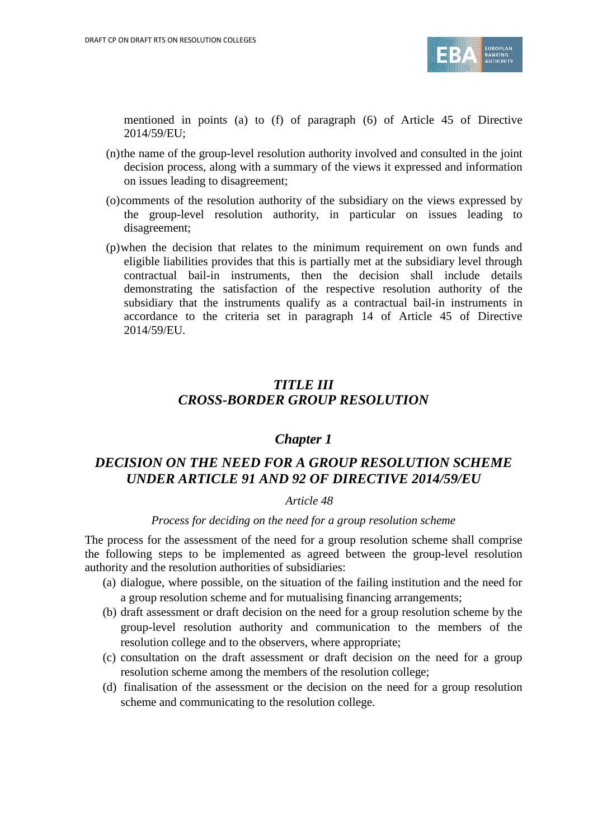

mentioned in points (a) to (f) of paragraph (6) of Article 45 of Directive 2014/59/EU;

- (n)the name of the group-level resolution authority involved and consulted in the joint decision process, along with a summary of the views it expressed and information on issues leading to disagreement;
- (o)comments of the resolution authority of the subsidiary on the views expressed by the group-level resolution authority, in particular on issues leading to disagreement;
- (p)when the decision that relates to the minimum requirement on own funds and eligible liabilities provides that this is partially met at the subsidiary level through contractual bail-in instruments, then the decision shall include details demonstrating the satisfaction of the respective resolution authority of the subsidiary that the instruments qualify as a contractual bail-in instruments in accordance to the criteria set in paragraph 14 of Article 45 of Directive 2014/59/EU.

# *TITLE III CROSS-BORDER GROUP RESOLUTION*

## *Chapter 1*

# *DECISION ON THE NEED FOR A GROUP RESOLUTION SCHEME UNDER ARTICLE 91 AND 92 OF DIRECTIVE 2014/59/EU*

#### *Article 48*

#### *Process for deciding on the need for a group resolution scheme*

The process for the assessment of the need for a group resolution scheme shall comprise the following steps to be implemented as agreed between the group-level resolution authority and the resolution authorities of subsidiaries:

- (a) dialogue, where possible, on the situation of the failing institution and the need for a group resolution scheme and for mutualising financing arrangements;
- (b) draft assessment or draft decision on the need for a group resolution scheme by the group-level resolution authority and communication to the members of the resolution college and to the observers, where appropriate;
- (c) consultation on the draft assessment or draft decision on the need for a group resolution scheme among the members of the resolution college;
- (d) finalisation of the assessment or the decision on the need for a group resolution scheme and communicating to the resolution college.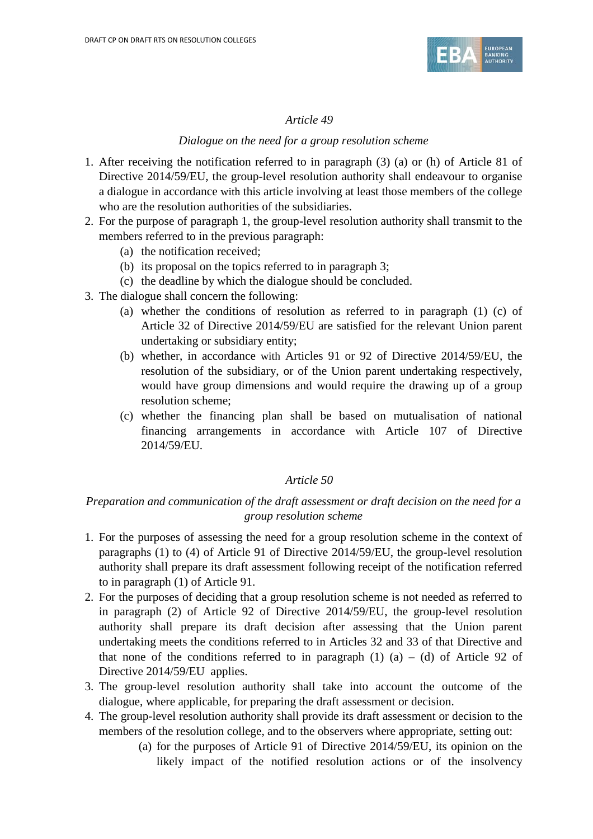

## *Dialogue on the need for a group resolution scheme*

- 1. After receiving the notification referred to in paragraph (3) (a) or (h) of Article 81 of Directive 2014/59/EU, the group-level resolution authority shall endeavour to organise a dialogue in accordance with this article involving at least those members of the college who are the resolution authorities of the subsidiaries.
- 2. For the purpose of paragraph 1, the group-level resolution authority shall transmit to the members referred to in the previous paragraph:
	- (a) the notification received;
	- (b) its proposal on the topics referred to in paragraph 3;
	- (c) the deadline by which the dialogue should be concluded.
- 3. The dialogue shall concern the following:
	- (a) whether the conditions of resolution as referred to in paragraph (1) (c) of Article 32 of Directive 2014/59/EU are satisfied for the relevant Union parent undertaking or subsidiary entity;
	- (b) whether, in accordance with Articles 91 or 92 of Directive 2014/59/EU, the resolution of the subsidiary, or of the Union parent undertaking respectively, would have group dimensions and would require the drawing up of a group resolution scheme;
	- (c) whether the financing plan shall be based on mutualisation of national financing arrangements in accordance with Article 107 of Directive 2014/59/EU.

## *Article 50*

## *Preparation and communication of the draft assessment or draft decision on the need for a group resolution scheme*

- 1. For the purposes of assessing the need for a group resolution scheme in the context of paragraphs (1) to (4) of Article 91 of Directive 2014/59/EU, the group-level resolution authority shall prepare its draft assessment following receipt of the notification referred to in paragraph (1) of Article 91.
- 2. For the purposes of deciding that a group resolution scheme is not needed as referred to in paragraph (2) of Article 92 of Directive 2014/59/EU, the group-level resolution authority shall prepare its draft decision after assessing that the Union parent undertaking meets the conditions referred to in Articles 32 and 33 of that Directive and that none of the conditions referred to in paragraph  $(1)$   $(a) - (d)$  of Article 92 of Directive 2014/59/EU applies.
- 3. The group-level resolution authority shall take into account the outcome of the dialogue, where applicable, for preparing the draft assessment or decision.
- 4. The group-level resolution authority shall provide its draft assessment or decision to the members of the resolution college, and to the observers where appropriate, setting out:
	- (a) for the purposes of Article 91 of Directive 2014/59/EU, its opinion on the likely impact of the notified resolution actions or of the insolvency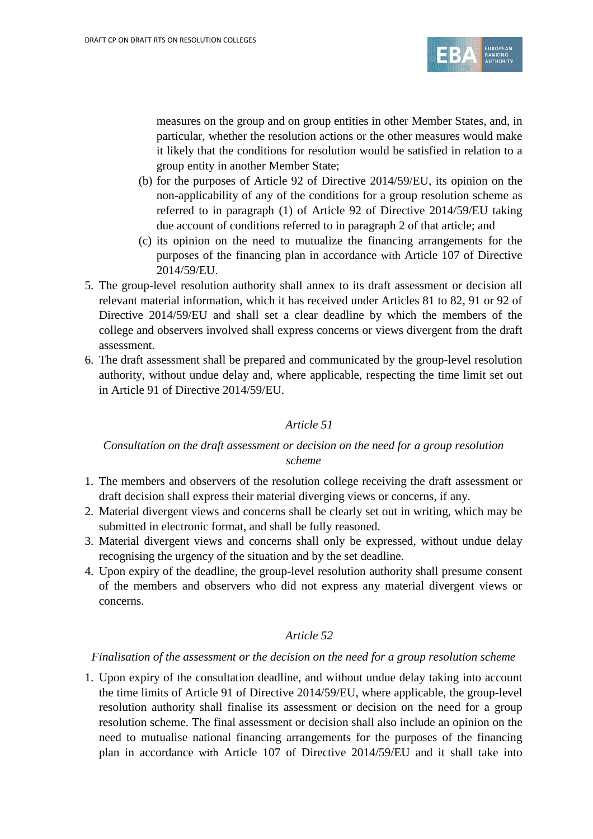

measures on the group and on group entities in other Member States, and, in particular, whether the resolution actions or the other measures would make it likely that the conditions for resolution would be satisfied in relation to a group entity in another Member State;

- (b) for the purposes of Article 92 of Directive 2014/59/EU, its opinion on the non-applicability of any of the conditions for a group resolution scheme as referred to in paragraph (1) of Article 92 of Directive 2014/59/EU taking due account of conditions referred to in paragraph 2 of that article; and
- (c) its opinion on the need to mutualize the financing arrangements for the purposes of the financing plan in accordance with Article 107 of Directive 2014/59/EU.
- 5. The group-level resolution authority shall annex to its draft assessment or decision all relevant material information, which it has received under Articles 81 to 82, 91 or 92 of Directive 2014/59/EU and shall set a clear deadline by which the members of the college and observers involved shall express concerns or views divergent from the draft assessment.
- 6. The draft assessment shall be prepared and communicated by the group-level resolution authority, without undue delay and, where applicable, respecting the time limit set out in Article 91 of Directive 2014/59/EU.

## *Article 51*

## *Consultation on the draft assessment or decision on the need for a group resolution scheme*

- 1. The members and observers of the resolution college receiving the draft assessment or draft decision shall express their material diverging views or concerns, if any.
- 2. Material divergent views and concerns shall be clearly set out in writing, which may be submitted in electronic format, and shall be fully reasoned.
- 3. Material divergent views and concerns shall only be expressed, without undue delay recognising the urgency of the situation and by the set deadline.
- 4. Upon expiry of the deadline, the group-level resolution authority shall presume consent of the members and observers who did not express any material divergent views or concerns.

## *Article 52*

#### *Finalisation of the assessment or the decision on the need for a group resolution scheme*

1. Upon expiry of the consultation deadline, and without undue delay taking into account the time limits of Article 91 of Directive 2014/59/EU, where applicable, the group-level resolution authority shall finalise its assessment or decision on the need for a group resolution scheme. The final assessment or decision shall also include an opinion on the need to mutualise national financing arrangements for the purposes of the financing plan in accordance with Article 107 of Directive 2014/59/EU and it shall take into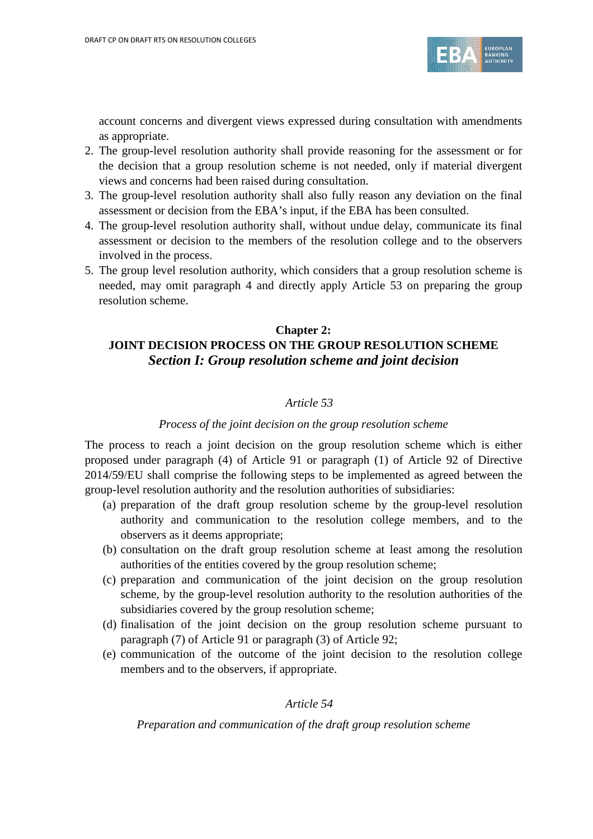

account concerns and divergent views expressed during consultation with amendments as appropriate.

- 2. The group-level resolution authority shall provide reasoning for the assessment or for the decision that a group resolution scheme is not needed, only if material divergent views and concerns had been raised during consultation.
- 3. The group-level resolution authority shall also fully reason any deviation on the final assessment or decision from the EBA's input, if the EBA has been consulted.
- 4. The group-level resolution authority shall, without undue delay, communicate its final assessment or decision to the members of the resolution college and to the observers involved in the process.
- 5. The group level resolution authority, which considers that a group resolution scheme is needed, may omit paragraph 4 and directly apply Article 53 on preparing the group resolution scheme.

# **Chapter 2: JOINT DECISION PROCESS ON THE GROUP RESOLUTION SCHEME** *Section I: Group resolution scheme and joint decision*

## *Article 53*

#### *Process of the joint decision on the group resolution scheme*

The process to reach a joint decision on the group resolution scheme which is either proposed under paragraph (4) of Article 91 or paragraph (1) of Article 92 of Directive 2014/59/EU shall comprise the following steps to be implemented as agreed between the group-level resolution authority and the resolution authorities of subsidiaries:

- (a) preparation of the draft group resolution scheme by the group-level resolution authority and communication to the resolution college members, and to the observers as it deems appropriate;
- (b) consultation on the draft group resolution scheme at least among the resolution authorities of the entities covered by the group resolution scheme;
- (c) preparation and communication of the joint decision on the group resolution scheme, by the group-level resolution authority to the resolution authorities of the subsidiaries covered by the group resolution scheme;
- (d) finalisation of the joint decision on the group resolution scheme pursuant to paragraph (7) of Article 91 or paragraph (3) of Article 92;
- (e) communication of the outcome of the joint decision to the resolution college members and to the observers, if appropriate.

### *Article 54*

*Preparation and communication of the draft group resolution scheme*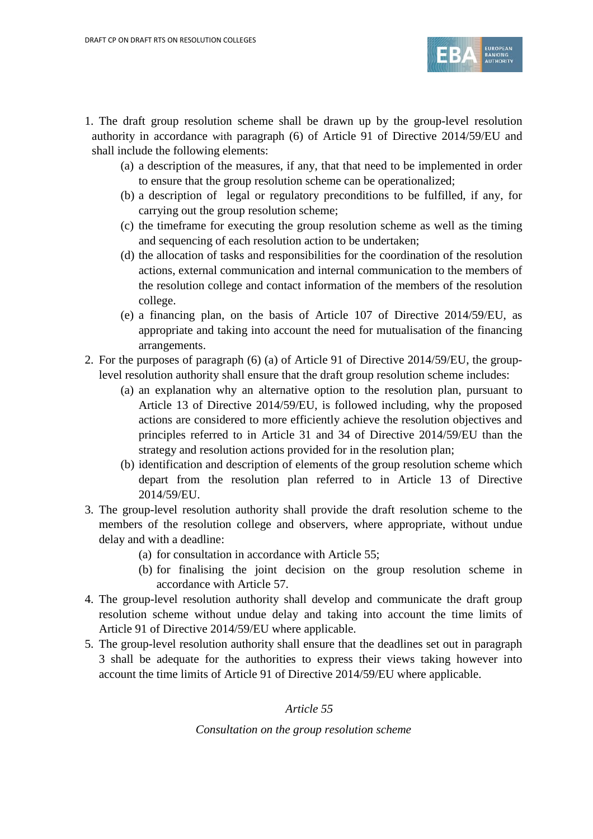

- 1. The draft group resolution scheme shall be drawn up by the group-level resolution authority in accordance with paragraph (6) of Article 91 of Directive 2014/59/EU and shall include the following elements:
	- (a) a description of the measures, if any, that that need to be implemented in order to ensure that the group resolution scheme can be operationalized;
	- (b) a description of legal or regulatory preconditions to be fulfilled, if any, for carrying out the group resolution scheme;
	- (c) the timeframe for executing the group resolution scheme as well as the timing and sequencing of each resolution action to be undertaken;
	- (d) the allocation of tasks and responsibilities for the coordination of the resolution actions, external communication and internal communication to the members of the resolution college and contact information of the members of the resolution college.
	- (e) a financing plan, on the basis of Article 107 of Directive 2014/59/EU, as appropriate and taking into account the need for mutualisation of the financing arrangements.
- 2. For the purposes of paragraph (6) (a) of Article 91 of Directive 2014/59/EU, the grouplevel resolution authority shall ensure that the draft group resolution scheme includes:
	- (a) an explanation why an alternative option to the resolution plan, pursuant to Article 13 of Directive 2014/59/EU, is followed including, why the proposed actions are considered to more efficiently achieve the resolution objectives and principles referred to in Article 31 and 34 of Directive 2014/59/EU than the strategy and resolution actions provided for in the resolution plan;
	- (b) identification and description of elements of the group resolution scheme which depart from the resolution plan referred to in Article 13 of Directive 2014/59/EU.
- 3. The group-level resolution authority shall provide the draft resolution scheme to the members of the resolution college and observers, where appropriate, without undue delay and with a deadline:
	- (a) for consultation in accordance with Article 55;
	- (b) for finalising the joint decision on the group resolution scheme in accordance with Article 57.
- 4. The group-level resolution authority shall develop and communicate the draft group resolution scheme without undue delay and taking into account the time limits of Article 91 of Directive 2014/59/EU where applicable.
- 5. The group-level resolution authority shall ensure that the deadlines set out in paragraph 3 shall be adequate for the authorities to express their views taking however into account the time limits of Article 91 of Directive 2014/59/EU where applicable.

#### *Consultation on the group resolution scheme*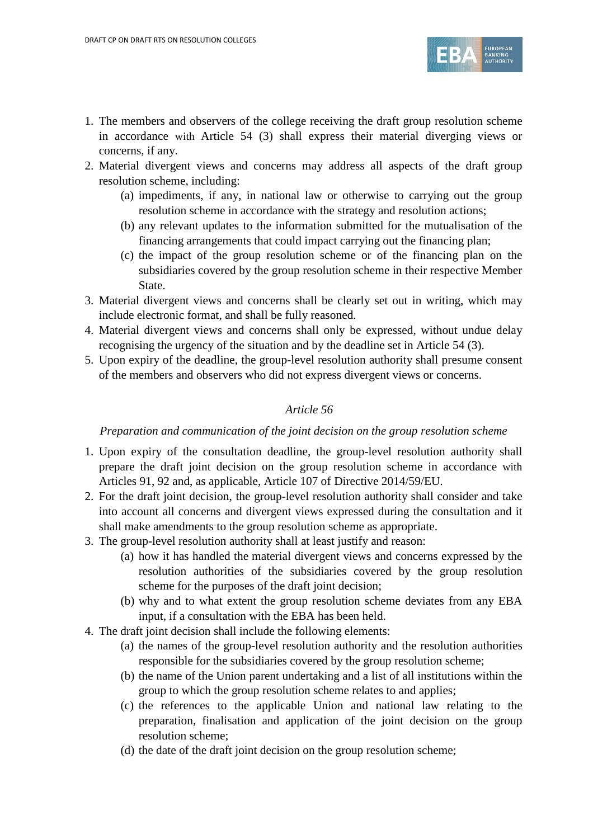

- 1. The members and observers of the college receiving the draft group resolution scheme in accordance with Article 54 (3) shall express their material diverging views or concerns, if any.
- 2. Material divergent views and concerns may address all aspects of the draft group resolution scheme, including:
	- (a) impediments, if any, in national law or otherwise to carrying out the group resolution scheme in accordance with the strategy and resolution actions;
	- (b) any relevant updates to the information submitted for the mutualisation of the financing arrangements that could impact carrying out the financing plan;
	- (c) the impact of the group resolution scheme or of the financing plan on the subsidiaries covered by the group resolution scheme in their respective Member State.
- 3. Material divergent views and concerns shall be clearly set out in writing, which may include electronic format, and shall be fully reasoned.
- 4. Material divergent views and concerns shall only be expressed, without undue delay recognising the urgency of the situation and by the deadline set in Article 54 (3).
- 5. Upon expiry of the deadline, the group-level resolution authority shall presume consent of the members and observers who did not express divergent views or concerns.

## *Preparation and communication of the joint decision on the group resolution scheme*

- 1. Upon expiry of the consultation deadline, the group-level resolution authority shall prepare the draft joint decision on the group resolution scheme in accordance with Articles 91, 92 and, as applicable, Article 107 of Directive 2014/59/EU.
- 2. For the draft joint decision, the group-level resolution authority shall consider and take into account all concerns and divergent views expressed during the consultation and it shall make amendments to the group resolution scheme as appropriate.
- 3. The group-level resolution authority shall at least justify and reason:
	- (a) how it has handled the material divergent views and concerns expressed by the resolution authorities of the subsidiaries covered by the group resolution scheme for the purposes of the draft joint decision;
	- (b) why and to what extent the group resolution scheme deviates from any EBA input, if a consultation with the EBA has been held.
- 4. The draft joint decision shall include the following elements:
	- (a) the names of the group-level resolution authority and the resolution authorities responsible for the subsidiaries covered by the group resolution scheme;
	- (b) the name of the Union parent undertaking and a list of all institutions within the group to which the group resolution scheme relates to and applies;
	- (c) the references to the applicable Union and national law relating to the preparation, finalisation and application of the joint decision on the group resolution scheme;
	- (d) the date of the draft joint decision on the group resolution scheme;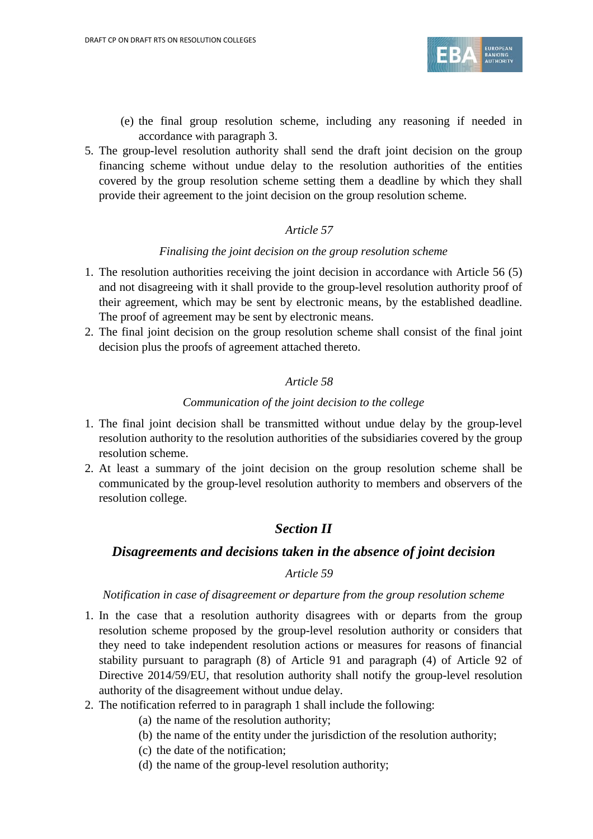

- (e) the final group resolution scheme, including any reasoning if needed in accordance with paragraph 3.
- 5. The group-level resolution authority shall send the draft joint decision on the group financing scheme without undue delay to the resolution authorities of the entities covered by the group resolution scheme setting them a deadline by which they shall provide their agreement to the joint decision on the group resolution scheme.

#### *Finalising the joint decision on the group resolution scheme*

- 1. The resolution authorities receiving the joint decision in accordance with Article 56 (5) and not disagreeing with it shall provide to the group-level resolution authority proof of their agreement, which may be sent by electronic means, by the established deadline. The proof of agreement may be sent by electronic means.
- 2. The final joint decision on the group resolution scheme shall consist of the final joint decision plus the proofs of agreement attached thereto.

## *Article 58*

#### *Communication of the joint decision to the college*

- 1. The final joint decision shall be transmitted without undue delay by the group-level resolution authority to the resolution authorities of the subsidiaries covered by the group resolution scheme.
- 2. At least a summary of the joint decision on the group resolution scheme shall be communicated by the group-level resolution authority to members and observers of the resolution college.

## *Section II*

## *Disagreements and decisions taken in the absence of joint decision*

#### *Article 59*

#### *Notification in case of disagreement or departure from the group resolution scheme*

- 1. In the case that a resolution authority disagrees with or departs from the group resolution scheme proposed by the group-level resolution authority or considers that they need to take independent resolution actions or measures for reasons of financial stability pursuant to paragraph (8) of Article 91 and paragraph (4) of Article 92 of Directive 2014/59/EU, that resolution authority shall notify the group-level resolution authority of the disagreement without undue delay.
- 2. The notification referred to in paragraph 1 shall include the following:
	- (a) the name of the resolution authority;
	- (b) the name of the entity under the jurisdiction of the resolution authority;
	- (c) the date of the notification;
	- (d) the name of the group-level resolution authority;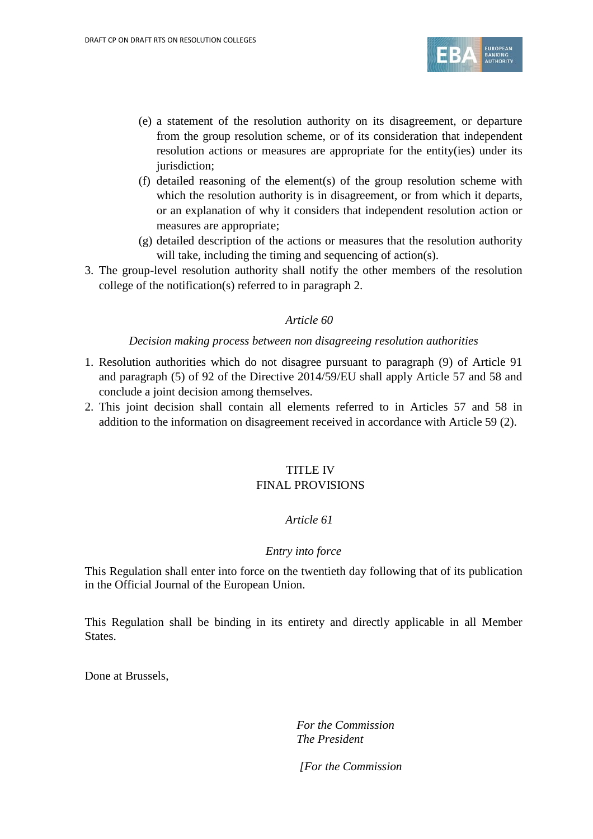

- (e) a statement of the resolution authority on its disagreement, or departure from the group resolution scheme, or of its consideration that independent resolution actions or measures are appropriate for the entity(ies) under its jurisdiction:
- (f) detailed reasoning of the element(s) of the group resolution scheme with which the resolution authority is in disagreement, or from which it departs, or an explanation of why it considers that independent resolution action or measures are appropriate;
- (g) detailed description of the actions or measures that the resolution authority will take, including the timing and sequencing of action(s).
- 3. The group-level resolution authority shall notify the other members of the resolution college of the notification(s) referred to in paragraph 2.

#### *Decision making process between non disagreeing resolution authorities*

- 1. Resolution authorities which do not disagree pursuant to paragraph (9) of Article 91 and paragraph (5) of 92 of the Directive 2014/59/EU shall apply Article 57 and 58 and conclude a joint decision among themselves.
- 2. This joint decision shall contain all elements referred to in Articles 57 and 58 in addition to the information on disagreement received in accordance with Article 59 (2).

## TITLE IV FINAL PROVISIONS

#### *Article 61*

#### *Entry into force*

This Regulation shall enter into force on the twentieth day following that of its publication in the Official Journal of the European Union.

This Regulation shall be binding in its entirety and directly applicable in all Member States.

Done at Brussels,

*For the Commission The President*

*[For the Commission*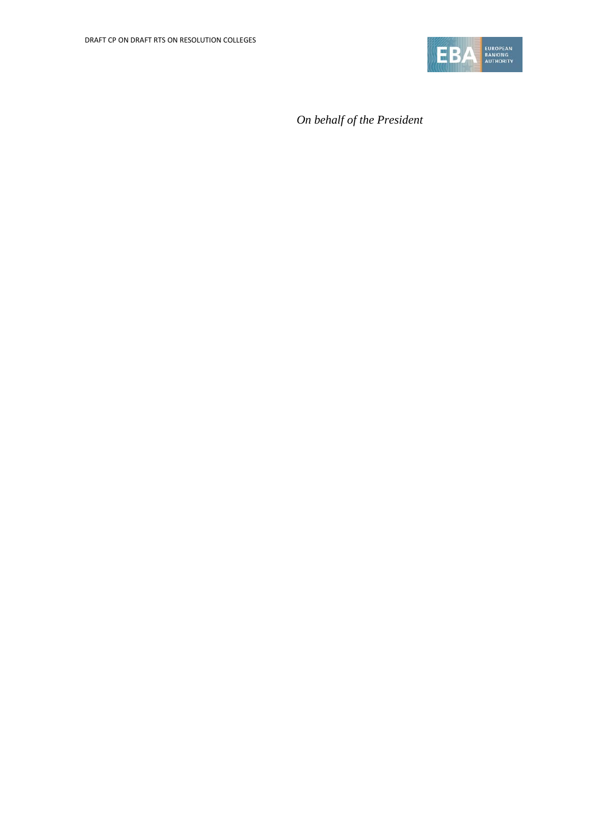

*On behalf of the President*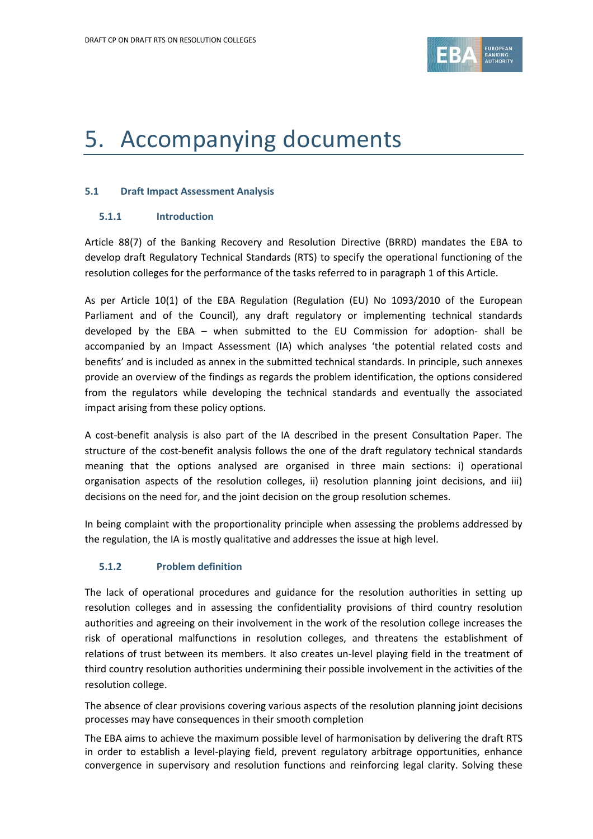

# 5. Accompanying documents

#### **5.1 Draft Impact Assessment Analysis**

#### **5.1.1 Introduction**

Article 88(7) of the Banking Recovery and Resolution Directive (BRRD) mandates the EBA to develop draft Regulatory Technical Standards (RTS) to specify the operational functioning of the resolution colleges for the performance of the tasks referred to in paragraph 1 of this Article.

As per Article 10(1) of the EBA Regulation (Regulation (EU) No 1093/2010 of the European Parliament and of the Council), any draft regulatory or implementing technical standards developed by the EBA – when submitted to the EU Commission for adoption- shall be accompanied by an Impact Assessment (IA) which analyses 'the potential related costs and benefits' and is included as annex in the submitted technical standards. In principle, such annexes provide an overview of the findings as regards the problem identification, the options considered from the regulators while developing the technical standards and eventually the associated impact arising from these policy options.

A cost-benefit analysis is also part of the IA described in the present Consultation Paper. The structure of the cost-benefit analysis follows the one of the draft regulatory technical standards meaning that the options analysed are organised in three main sections: i) operational organisation aspects of the resolution colleges, ii) resolution planning joint decisions, and iii) decisions on the need for, and the joint decision on the group resolution schemes.

In being complaint with the proportionality principle when assessing the problems addressed by the regulation, the IA is mostly qualitative and addresses the issue at high level.

#### **5.1.2 Problem definition**

The lack of operational procedures and guidance for the resolution authorities in setting up resolution colleges and in assessing the confidentiality provisions of third country resolution authorities and agreeing on their involvement in the work of the resolution college increases the risk of operational malfunctions in resolution colleges, and threatens the establishment of relations of trust between its members. It also creates un-level playing field in the treatment of third country resolution authorities undermining their possible involvement in the activities of the resolution college.

The absence of clear provisions covering various aspects of the resolution planning joint decisions processes may have consequences in their smooth completion

The EBA aims to achieve the maximum possible level of harmonisation by delivering the draft RTS in order to establish a level-playing field, prevent regulatory arbitrage opportunities, enhance convergence in supervisory and resolution functions and reinforcing legal clarity. Solving these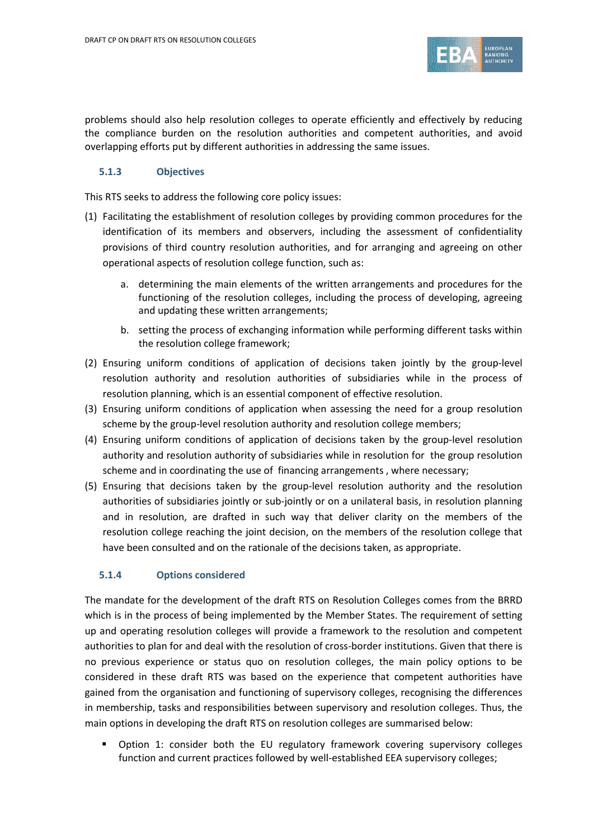

problems should also help resolution colleges to operate efficiently and effectively by reducing the compliance burden on the resolution authorities and competent authorities, and avoid overlapping efforts put by different authorities in addressing the same issues.

#### **5.1.3 Objectives**

This RTS seeks to address the following core policy issues:

- (1) Facilitating the establishment of resolution colleges by providing common procedures for the identification of its members and observers, including the assessment of confidentiality provisions of third country resolution authorities, and for arranging and agreeing on other operational aspects of resolution college function, such as:
	- a. determining the main elements of the written arrangements and procedures for the functioning of the resolution colleges, including the process of developing, agreeing and updating these written arrangements;
	- b. setting the process of exchanging information while performing different tasks within the resolution college framework;
- (2) Ensuring uniform conditions of application of decisions taken jointly by the group-level resolution authority and resolution authorities of subsidiaries while in the process of resolution planning, which is an essential component of effective resolution.
- (3) Ensuring uniform conditions of application when assessing the need for a group resolution scheme by the group-level resolution authority and resolution college members;
- (4) Ensuring uniform conditions of application of decisions taken by the group-level resolution authority and resolution authority of subsidiaries while in resolution for the group resolution scheme and in coordinating the use of financing arrangements , where necessary;
- (5) Ensuring that decisions taken by the group-level resolution authority and the resolution authorities of subsidiaries jointly or sub-jointly or on a unilateral basis, in resolution planning and in resolution, are drafted in such way that deliver clarity on the members of the resolution college reaching the joint decision, on the members of the resolution college that have been consulted and on the rationale of the decisions taken, as appropriate.

#### **5.1.4 Options considered**

The mandate for the development of the draft RTS on Resolution Colleges comes from the BRRD which is in the process of being implemented by the Member States. The requirement of setting up and operating resolution colleges will provide a framework to the resolution and competent authorities to plan for and deal with the resolution of cross-border institutions. Given that there is no previous experience or status quo on resolution colleges, the main policy options to be considered in these draft RTS was based on the experience that competent authorities have gained from the organisation and functioning of supervisory colleges, recognising the differences in membership, tasks and responsibilities between supervisory and resolution colleges. Thus, the main options in developing the draft RTS on resolution colleges are summarised below:

 Option 1: consider both the EU regulatory framework covering supervisory colleges function and current practices followed by well-established EEA supervisory colleges;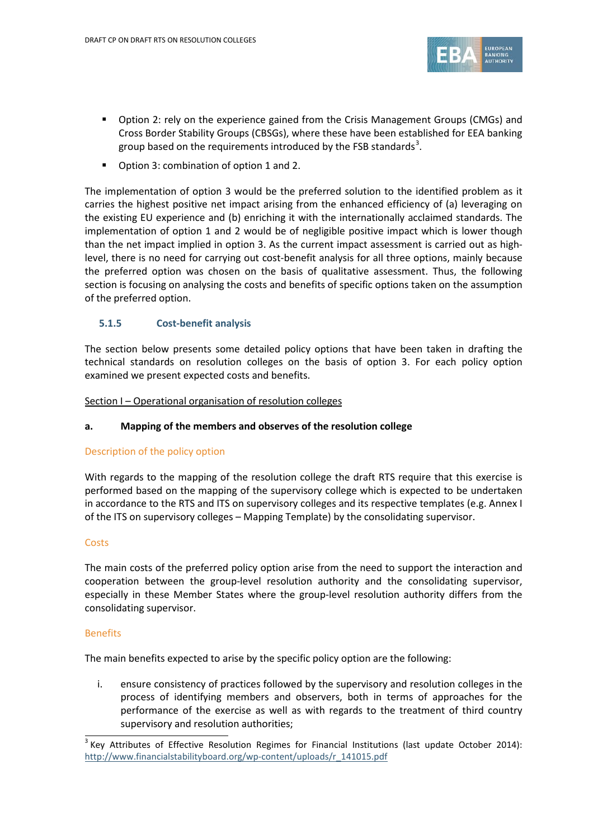

- Option 2: rely on the experience gained from the Crisis Management Groups (CMGs) and Cross Border Stability Groups (CBSGs), where these have been established for EEA banking group based on the requirements introduced by the FSB standards<sup>[3](#page-52-0)</sup>.
- Option 3: combination of option 1 and 2.

The implementation of option 3 would be the preferred solution to the identified problem as it carries the highest positive net impact arising from the enhanced efficiency of (a) leveraging on the existing EU experience and (b) enriching it with the internationally acclaimed standards. The implementation of option 1 and 2 would be of negligible positive impact which is lower though than the net impact implied in option 3. As the current impact assessment is carried out as highlevel, there is no need for carrying out cost-benefit analysis for all three options, mainly because the preferred option was chosen on the basis of qualitative assessment. Thus, the following section is focusing on analysing the costs and benefits of specific options taken on the assumption of the preferred option.

#### **5.1.5 Cost-benefit analysis**

The section below presents some detailed policy options that have been taken in drafting the technical standards on resolution colleges on the basis of option 3. For each policy option examined we present expected costs and benefits.

Section I – Operational organisation of resolution colleges

#### **a. Mapping of the members and observes of the resolution college**

#### Description of the policy option

With regards to the mapping of the resolution college the draft RTS require that this exercise is performed based on the mapping of the supervisory college which is expected to be undertaken in accordance to the RTS and ITS on supervisory colleges and its respective templates (e.g. Annex I of the ITS on supervisory colleges – Mapping Template) by the consolidating supervisor.

#### **Costs**

The main costs of the preferred policy option arise from the need to support the interaction and cooperation between the group-level resolution authority and the consolidating supervisor, especially in these Member States where the group-level resolution authority differs from the consolidating supervisor.

#### Benefits

The main benefits expected to arise by the specific policy option are the following:

i. ensure consistency of practices followed by the supervisory and resolution colleges in the process of identifying members and observers, both in terms of approaches for the performance of the exercise as well as with regards to the treatment of third country supervisory and resolution authorities;

<span id="page-52-0"></span> $\frac{3}{3}$  Key Attributes of Effective Resolution Regimes for Financial Institutions (last update October 2014): [http://www.financialstabilityboard.org/wp-content/uploads/r\\_141015.pdf](http://www.financialstabilityboard.org/wp-content/uploads/r_141015.pdf)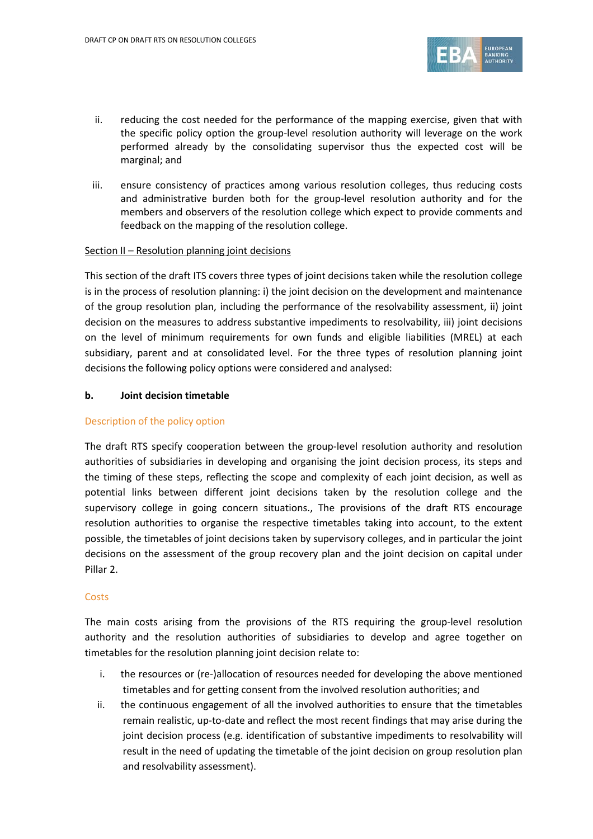

- ii. reducing the cost needed for the performance of the mapping exercise, given that with the specific policy option the group-level resolution authority will leverage on the work performed already by the consolidating supervisor thus the expected cost will be marginal; and
- iii. ensure consistency of practices among various resolution colleges, thus reducing costs and administrative burden both for the group-level resolution authority and for the members and observers of the resolution college which expect to provide comments and feedback on the mapping of the resolution college.

#### Section II – Resolution planning joint decisions

This section of the draft ITS covers three types of joint decisions taken while the resolution college is in the process of resolution planning: i) the joint decision on the development and maintenance of the group resolution plan, including the performance of the resolvability assessment, ii) joint decision on the measures to address substantive impediments to resolvability, iii) joint decisions on the level of minimum requirements for own funds and eligible liabilities (MREL) at each subsidiary, parent and at consolidated level. For the three types of resolution planning joint decisions the following policy options were considered and analysed:

#### **b. Joint decision timetable**

#### Description of the policy option

The draft RTS specify cooperation between the group-level resolution authority and resolution authorities of subsidiaries in developing and organising the joint decision process, its steps and the timing of these steps, reflecting the scope and complexity of each joint decision, as well as potential links between different joint decisions taken by the resolution college and the supervisory college in going concern situations., The provisions of the draft RTS encourage resolution authorities to organise the respective timetables taking into account, to the extent possible, the timetables of joint decisions taken by supervisory colleges, and in particular the joint decisions on the assessment of the group recovery plan and the joint decision on capital under Pillar 2.

#### **Costs**

The main costs arising from the provisions of the RTS requiring the group-level resolution authority and the resolution authorities of subsidiaries to develop and agree together on timetables for the resolution planning joint decision relate to:

- i. the resources or (re-)allocation of resources needed for developing the above mentioned timetables and for getting consent from the involved resolution authorities; and
- ii. the continuous engagement of all the involved authorities to ensure that the timetables remain realistic, up-to-date and reflect the most recent findings that may arise during the joint decision process (e.g. identification of substantive impediments to resolvability will result in the need of updating the timetable of the joint decision on group resolution plan and resolvability assessment).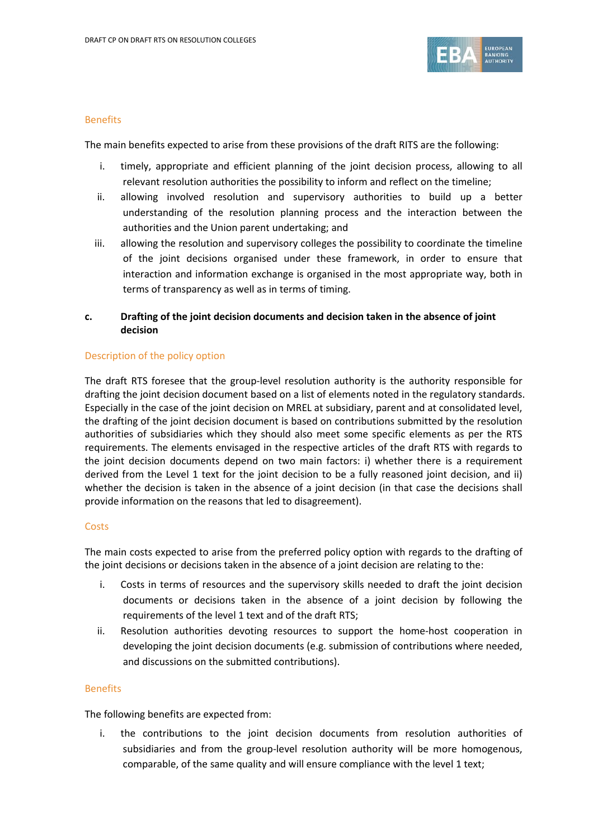

#### Benefits

The main benefits expected to arise from these provisions of the draft RITS are the following:

- i. timely, appropriate and efficient planning of the joint decision process, allowing to all relevant resolution authorities the possibility to inform and reflect on the timeline;
- ii. allowing involved resolution and supervisory authorities to build up a better understanding of the resolution planning process and the interaction between the authorities and the Union parent undertaking; and
- iii. allowing the resolution and supervisory colleges the possibility to coordinate the timeline of the joint decisions organised under these framework, in order to ensure that interaction and information exchange is organised in the most appropriate way, both in terms of transparency as well as in terms of timing.

#### **c. Drafting of the joint decision documents and decision taken in the absence of joint decision**

#### Description of the policy option

The draft RTS foresee that the group-level resolution authority is the authority responsible for drafting the joint decision document based on a list of elements noted in the regulatory standards. Especially in the case of the joint decision on MREL at subsidiary, parent and at consolidated level, the drafting of the joint decision document is based on contributions submitted by the resolution authorities of subsidiaries which they should also meet some specific elements as per the RTS requirements. The elements envisaged in the respective articles of the draft RTS with regards to the joint decision documents depend on two main factors: i) whether there is a requirement derived from the Level 1 text for the joint decision to be a fully reasoned joint decision, and ii) whether the decision is taken in the absence of a joint decision (in that case the decisions shall provide information on the reasons that led to disagreement).

#### **Costs**

The main costs expected to arise from the preferred policy option with regards to the drafting of the joint decisions or decisions taken in the absence of a joint decision are relating to the:

- i. Costs in terms of resources and the supervisory skills needed to draft the joint decision documents or decisions taken in the absence of a joint decision by following the requirements of the level 1 text and of the draft RTS;
- ii. Resolution authorities devoting resources to support the home-host cooperation in developing the joint decision documents (e.g. submission of contributions where needed, and discussions on the submitted contributions).

#### **Benefits**

The following benefits are expected from:

i. the contributions to the joint decision documents from resolution authorities of subsidiaries and from the group-level resolution authority will be more homogenous, comparable, of the same quality and will ensure compliance with the level 1 text;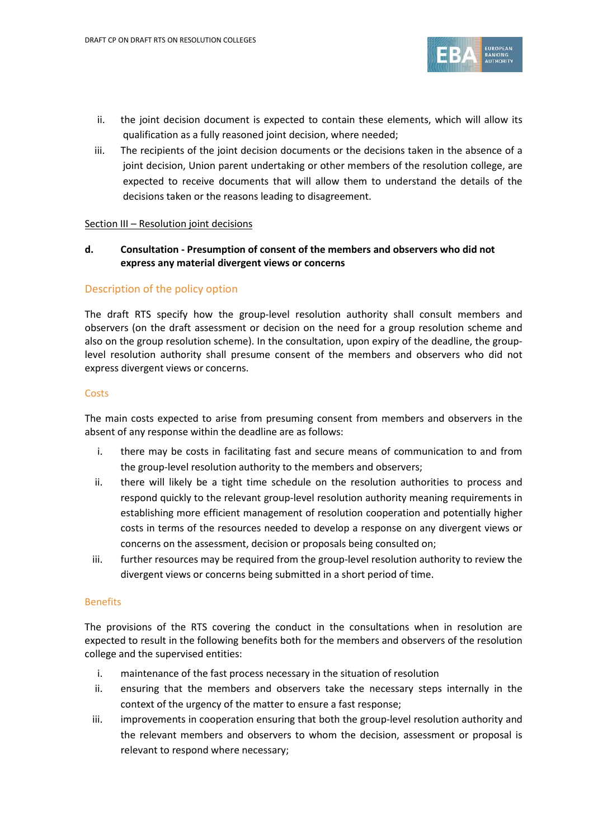

- ii. the joint decision document is expected to contain these elements, which will allow its qualification as a fully reasoned joint decision, where needed;
- iii. The recipients of the joint decision documents or the decisions taken in the absence of a joint decision, Union parent undertaking or other members of the resolution college, are expected to receive documents that will allow them to understand the details of the decisions taken or the reasons leading to disagreement.

#### Section III - Resolution joint decisions

**d. Consultation - Presumption of consent of the members and observers who did not express any material divergent views or concerns**

#### Description of the policy option

The draft RTS specify how the group-level resolution authority shall consult members and observers (on the draft assessment or decision on the need for a group resolution scheme and also on the group resolution scheme). In the consultation, upon expiry of the deadline, the grouplevel resolution authority shall presume consent of the members and observers who did not express divergent views or concerns.

#### **Costs**

The main costs expected to arise from presuming consent from members and observers in the absent of any response within the deadline are as follows:

- i. there may be costs in facilitating fast and secure means of communication to and from the group-level resolution authority to the members and observers;
- ii. there will likely be a tight time schedule on the resolution authorities to process and respond quickly to the relevant group-level resolution authority meaning requirements in establishing more efficient management of resolution cooperation and potentially higher costs in terms of the resources needed to develop a response on any divergent views or concerns on the assessment, decision or proposals being consulted on;
- iii. further resources may be required from the group-level resolution authority to review the divergent views or concerns being submitted in a short period of time.

#### Benefits

The provisions of the RTS covering the conduct in the consultations when in resolution are expected to result in the following benefits both for the members and observers of the resolution college and the supervised entities:

- i. maintenance of the fast process necessary in the situation of resolution
- ii. ensuring that the members and observers take the necessary steps internally in the context of the urgency of the matter to ensure a fast response;
- iii. improvements in cooperation ensuring that both the group-level resolution authority and the relevant members and observers to whom the decision, assessment or proposal is relevant to respond where necessary;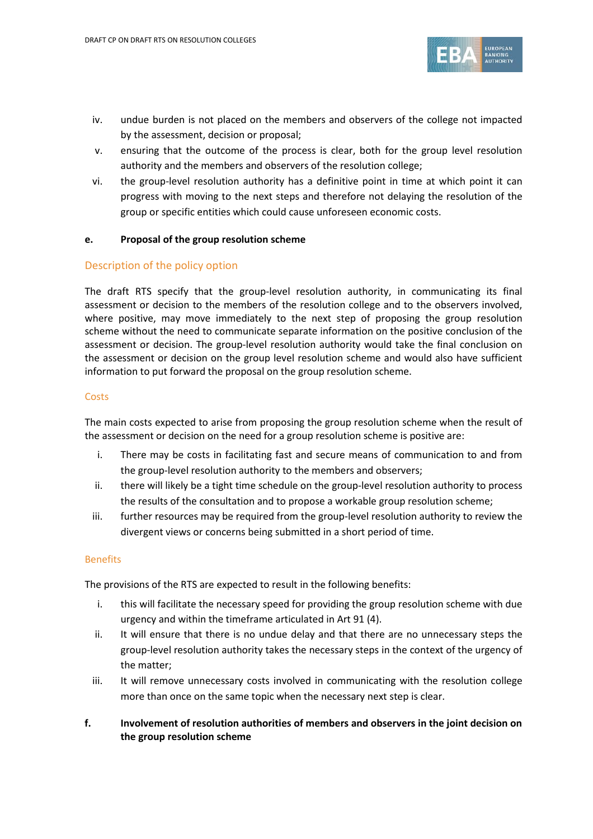

- iv. undue burden is not placed on the members and observers of the college not impacted by the assessment, decision or proposal;
- v. ensuring that the outcome of the process is clear, both for the group level resolution authority and the members and observers of the resolution college;
- vi. the group-level resolution authority has a definitive point in time at which point it can progress with moving to the next steps and therefore not delaying the resolution of the group or specific entities which could cause unforeseen economic costs.

#### **e. Proposal of the group resolution scheme**

#### Description of the policy option

The draft RTS specify that the group-level resolution authority, in communicating its final assessment or decision to the members of the resolution college and to the observers involved, where positive, may move immediately to the next step of proposing the group resolution scheme without the need to communicate separate information on the positive conclusion of the assessment or decision. The group-level resolution authority would take the final conclusion on the assessment or decision on the group level resolution scheme and would also have sufficient information to put forward the proposal on the group resolution scheme.

#### **Costs**

The main costs expected to arise from proposing the group resolution scheme when the result of the assessment or decision on the need for a group resolution scheme is positive are:

- i. There may be costs in facilitating fast and secure means of communication to and from the group-level resolution authority to the members and observers;
- ii. there will likely be a tight time schedule on the group-level resolution authority to process the results of the consultation and to propose a workable group resolution scheme;
- iii. further resources may be required from the group-level resolution authority to review the divergent views or concerns being submitted in a short period of time.

#### Benefits

The provisions of the RTS are expected to result in the following benefits:

- i. this will facilitate the necessary speed for providing the group resolution scheme with due urgency and within the timeframe articulated in Art 91 (4).
- ii. It will ensure that there is no undue delay and that there are no unnecessary steps the group-level resolution authority takes the necessary steps in the context of the urgency of the matter;
- iii. It will remove unnecessary costs involved in communicating with the resolution college more than once on the same topic when the necessary next step is clear.
- **f. Involvement of resolution authorities of members and observers in the joint decision on the group resolution scheme**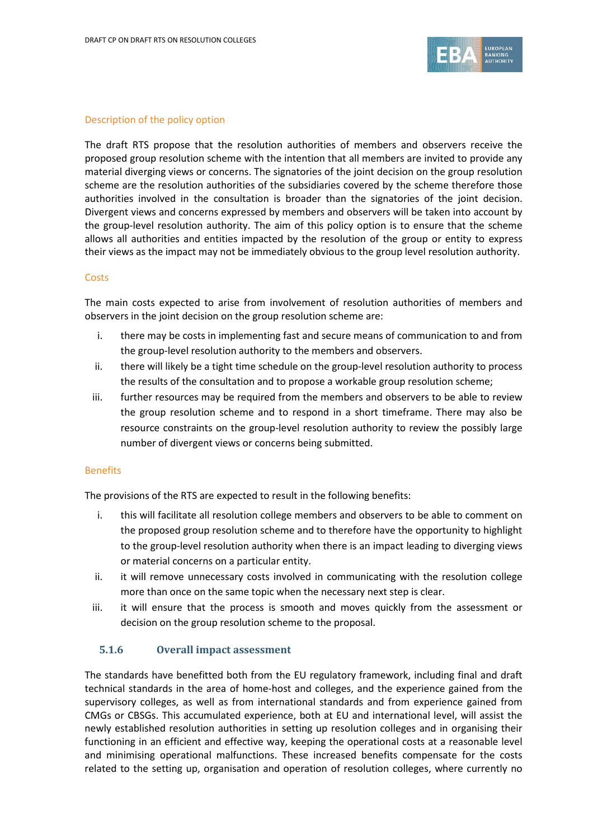

#### Description of the policy option

The draft RTS propose that the resolution authorities of members and observers receive the proposed group resolution scheme with the intention that all members are invited to provide any material diverging views or concerns. The signatories of the joint decision on the group resolution scheme are the resolution authorities of the subsidiaries covered by the scheme therefore those authorities involved in the consultation is broader than the signatories of the joint decision. Divergent views and concerns expressed by members and observers will be taken into account by the group-level resolution authority. The aim of this policy option is to ensure that the scheme allows all authorities and entities impacted by the resolution of the group or entity to express their views as the impact may not be immediately obvious to the group level resolution authority.

#### **Costs**

The main costs expected to arise from involvement of resolution authorities of members and observers in the joint decision on the group resolution scheme are:

- i. there may be costs in implementing fast and secure means of communication to and from the group-level resolution authority to the members and observers.
- ii. there will likely be a tight time schedule on the group-level resolution authority to process the results of the consultation and to propose a workable group resolution scheme;
- iii. further resources may be required from the members and observers to be able to review the group resolution scheme and to respond in a short timeframe. There may also be resource constraints on the group-level resolution authority to review the possibly large number of divergent views or concerns being submitted.

#### Benefits

The provisions of the RTS are expected to result in the following benefits:

- i. this will facilitate all resolution college members and observers to be able to comment on the proposed group resolution scheme and to therefore have the opportunity to highlight to the group-level resolution authority when there is an impact leading to diverging views or material concerns on a particular entity.
- ii. it will remove unnecessary costs involved in communicating with the resolution college more than once on the same topic when the necessary next step is clear.
- iii. it will ensure that the process is smooth and moves quickly from the assessment or decision on the group resolution scheme to the proposal.

#### **5.1.6 Overall impact assessment**

The standards have benefitted both from the EU regulatory framework, including final and draft technical standards in the area of home-host and colleges, and the experience gained from the supervisory colleges, as well as from international standards and from experience gained from CMGs or CBSGs. This accumulated experience, both at EU and international level, will assist the newly established resolution authorities in setting up resolution colleges and in organising their functioning in an efficient and effective way, keeping the operational costs at a reasonable level and minimising operational malfunctions. These increased benefits compensate for the costs related to the setting up, organisation and operation of resolution colleges, where currently no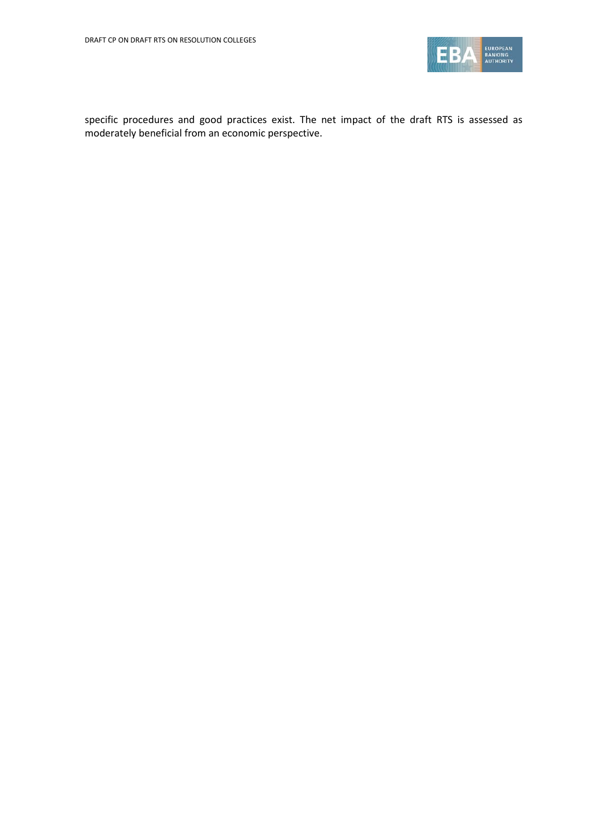

specific procedures and good practices exist. The net impact of the draft RTS is assessed as moderately beneficial from an economic perspective.